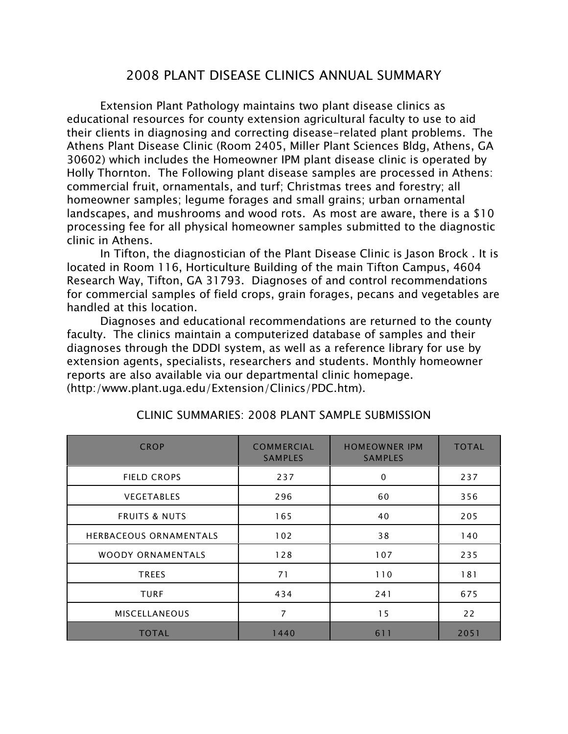## 2008 PLANT DISEASE CLINICS ANNUAL SUMMARY

Extension Plant Pathology maintains two plant disease clinics as educational resources for county extension agricultural faculty to use to aid their clients in diagnosing and correcting disease-related plant problems. The Athens Plant Disease Clinic (Room 2405, Miller Plant Sciences Bldg, Athens, GA 30602) which includes the Homeowner IPM plant disease clinic is operated by Holly Thornton. The Following plant disease samples are processed in Athens: commercial fruit, ornamentals, and turf; Christmas trees and forestry; all homeowner samples; legume forages and small grains; urban ornamental landscapes, and mushrooms and wood rots. As most are aware, there is a \$10 processing fee for all physical homeowner samples submitted to the diagnostic clinic in Athens.

In Tifton, the diagnostician of the Plant Disease Clinic is Jason Brock . It is located in Room 116, Horticulture Building of the main Tifton Campus, 4604 Research Way, Tifton, GA 31793. Diagnoses of and control recommendations for commercial samples of field crops, grain forages, pecans and vegetables are handled at this location.

Diagnoses and educational recommendations are returned to the county faculty. The clinics maintain a computerized database of samples and their diagnoses through the DDDI system, as well as a reference library for use by extension agents, specialists, researchers and students. Monthly homeowner reports are also available via our departmental clinic homepage. (http:/www.plant.uga.edu/Extension/Clinics/PDC.htm).

| <b>CROP</b>                   | <b>COMMERCIAL</b><br><b>SAMPLES</b> | <b>HOMEOWNER IPM</b><br><b>SAMPLES</b> | <b>TOTAL</b> |
|-------------------------------|-------------------------------------|----------------------------------------|--------------|
| <b>FIELD CROPS</b>            | 237                                 | $\mathbf 0$                            | 237          |
| <b>VEGETABLES</b>             | 296                                 | 60                                     | 356          |
| <b>FRUITS &amp; NUTS</b>      | 165                                 | 40                                     | 205          |
| <b>HERBACEOUS ORNAMENTALS</b> | 102                                 | 38                                     | 140          |
| <b>WOODY ORNAMENTALS</b>      | 128                                 | 107                                    | 235          |
| <b>TREES</b>                  | 71                                  | 110                                    | 181          |
| <b>TURF</b>                   | 434                                 | 241                                    | 675          |
| <b>MISCELLANEOUS</b>          | 7                                   | 15                                     | 22           |
| <b>TOTAL</b>                  | 1440                                | 611                                    | 2051         |

#### CLINIC SUMMARIES: 2008 PLANT SAMPLE SUBMISSION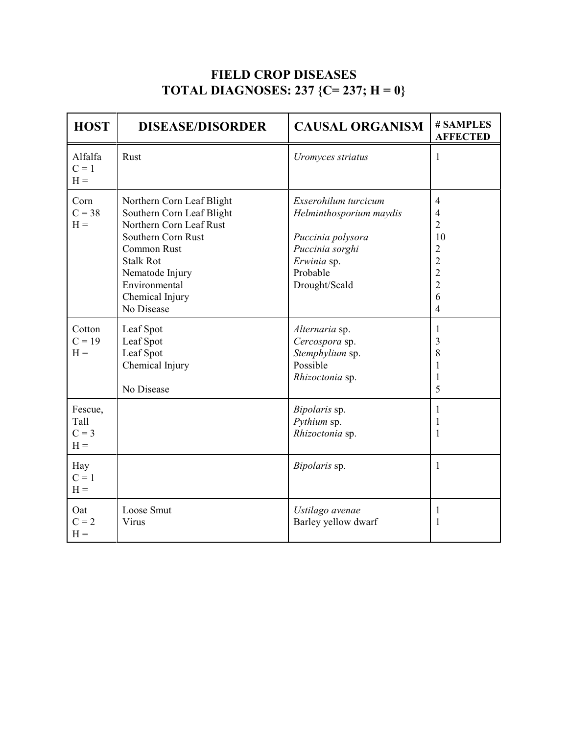# **FIELD CROP DISEASES TOTAL DIAGNOSES: 237 {C= 237; H = 0}**

| <b>HOST</b>                         | <b>DISEASE/DISORDER</b>                                                                                                                                                                                         | <b>CAUSAL ORGANISM</b>                                                                                                              | # SAMPLES<br><b>AFFECTED</b>                                                                                                                            |
|-------------------------------------|-----------------------------------------------------------------------------------------------------------------------------------------------------------------------------------------------------------------|-------------------------------------------------------------------------------------------------------------------------------------|---------------------------------------------------------------------------------------------------------------------------------------------------------|
| Alfalfa<br>$C = 1$<br>$H =$         | Rust                                                                                                                                                                                                            | Uromyces striatus                                                                                                                   | 1                                                                                                                                                       |
| Corn<br>$C = 38$<br>$H =$           | Northern Corn Leaf Blight<br>Southern Corn Leaf Blight<br>Northern Corn Leaf Rust<br>Southern Corn Rust<br>Common Rust<br><b>Stalk Rot</b><br>Nematode Injury<br>Environmental<br>Chemical Injury<br>No Disease | Exserohilum turcicum<br>Helminthosporium maydis<br>Puccinia polysora<br>Puccinia sorghi<br>Erwinia sp.<br>Probable<br>Drought/Scald | $\overline{4}$<br>$\overline{4}$<br>$\overline{2}$<br>10<br>$\overline{2}$<br>$\overline{2}$<br>$\overline{c}$<br>$\overline{2}$<br>6<br>$\overline{4}$ |
| Cotton<br>$C = 19$<br>$H =$         | Leaf Spot<br>Leaf Spot<br>Leaf Spot<br>Chemical Injury<br>No Disease                                                                                                                                            | Alternaria sp.<br>Cercospora sp.<br>Stemphylium sp.<br>Possible<br>Rhizoctonia sp.                                                  | $\mathbf{1}$<br>3<br>8<br>1<br>$\mathbf{1}$<br>5                                                                                                        |
| Fescue,<br>Tall<br>$C = 3$<br>$H =$ |                                                                                                                                                                                                                 | Bipolaris sp.<br>Pythium sp.<br>Rhizoctonia sp.                                                                                     | $\mathbf{1}$<br>1<br>$\mathbf{1}$                                                                                                                       |
| Hay<br>$C = 1$<br>$H =$             |                                                                                                                                                                                                                 | Bipolaris sp.                                                                                                                       | 1                                                                                                                                                       |
| Oat<br>$C = 2$<br>$H =$             | Loose Smut<br>Virus                                                                                                                                                                                             | Ustilago avenae<br>Barley yellow dwarf                                                                                              | $\mathbf{1}$<br>1                                                                                                                                       |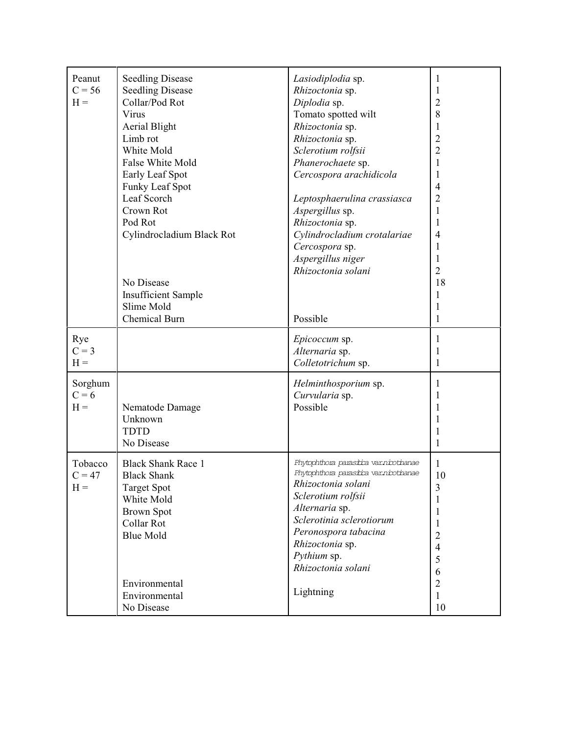| Peanut<br>$C = 56$<br>$H =$  | <b>Seedling Disease</b><br><b>Seedling Disease</b><br>Collar/Pod Rot<br>Virus<br><b>Aerial Blight</b><br>Limb rot<br>White Mold<br>False White Mold<br>Early Leaf Spot<br>Funky Leaf Spot<br>Leaf Scorch<br>Crown Rot<br>Pod Rot<br>Cylindrocladium Black Rot<br>No Disease<br><b>Insufficient Sample</b><br>Slime Mold<br>Chemical Burn | Lasiodiplodia sp.<br>Rhizoctonia sp.<br>Diplodia sp.<br>Tomato spotted wilt<br>Rhizoctonia sp.<br>Rhizoctonia sp.<br>Sclerotium rolfsii<br>Phanerochaete sp.<br>Cercospora arachidicola<br>Leptosphaerulina crassiasca<br>Aspergillus sp.<br>Rhizoctonia sp.<br>Cylindrocladium crotalariae<br>Cercospora sp.<br>Aspergillus niger<br>Rhizoctonia solani<br>Possible | 1<br>1<br>$\overline{2}$<br>8<br>$\mathbf{1}$<br>$\overline{2}$<br>$\overline{2}$<br>1<br>$\mathbf{1}$<br>$\overline{4}$<br>$\overline{2}$<br>$\mathbf{1}$<br>$\mathbf{1}$<br>$\overline{4}$<br>1<br>$\mathbf{1}$<br>$\overline{2}$<br>18<br>$\mathbf{1}$<br>1<br>1 |
|------------------------------|------------------------------------------------------------------------------------------------------------------------------------------------------------------------------------------------------------------------------------------------------------------------------------------------------------------------------------------|----------------------------------------------------------------------------------------------------------------------------------------------------------------------------------------------------------------------------------------------------------------------------------------------------------------------------------------------------------------------|---------------------------------------------------------------------------------------------------------------------------------------------------------------------------------------------------------------------------------------------------------------------|
| Rye<br>$C = 3$<br>$H =$      |                                                                                                                                                                                                                                                                                                                                          | Epicoccum sp.<br>Alternaria sp.<br>Colletotrichum sp.                                                                                                                                                                                                                                                                                                                | 1<br>1<br>1                                                                                                                                                                                                                                                         |
| Sorghum<br>$C = 6$<br>$H =$  | Nematode Damage<br>Unknown<br><b>TDTD</b><br>No Disease                                                                                                                                                                                                                                                                                  | Helminthosporium sp.<br>Curvularia sp.<br>Possible                                                                                                                                                                                                                                                                                                                   | 1<br>1<br>1<br>1<br>1<br>1                                                                                                                                                                                                                                          |
| Tobacco<br>$C = 47$<br>$H =$ | <b>Black Shank Race 1</b><br><b>Black Shank</b><br><b>Target Spot</b><br>White Mold<br><b>Brown Spot</b><br>Collar Rot<br><b>Blue Mold</b><br>Environmental<br>Environmental<br>No Disease                                                                                                                                               | Phytophthora parasitra var.niotinanae<br>Phytophthora parastica var.niotinanae<br>Rhizoctonia solani<br>Sclerotium rolfsii<br>Alternaria sp.<br>Sclerotinia sclerotiorum<br>Peronospora tabacina<br>Rhizoctonia sp.<br>Pythium sp.<br>Rhizoctonia solani<br>Lightning                                                                                                | 1<br>10<br>$\mathfrak{Z}$<br>$\mathbf{1}$<br>$\mathbf{1}$<br>$\mathbf{1}$<br>$\overline{c}$<br>$\overline{4}$<br>5<br>6<br>$\sqrt{2}$<br>$\mathbf{1}$<br>10                                                                                                         |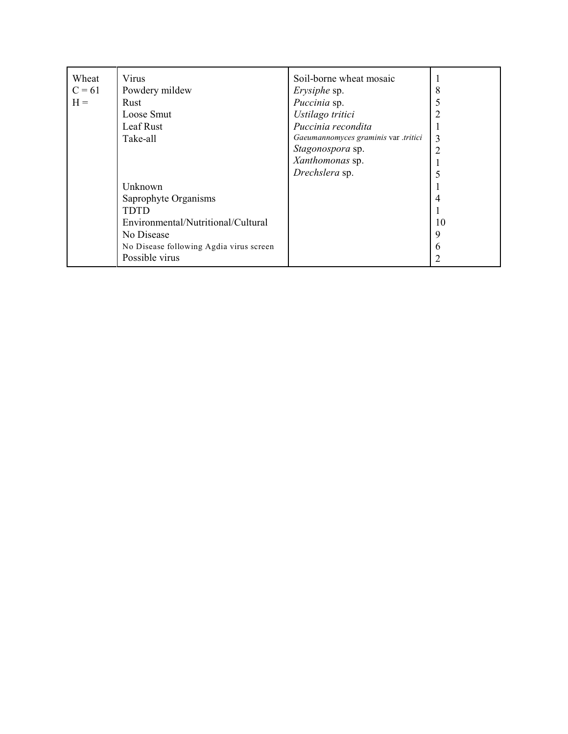| Wheat    | Virus                                   | Soil-borne wheat mosaic              |    |
|----------|-----------------------------------------|--------------------------------------|----|
| $C = 61$ | Powdery mildew                          | <i>Erysiphe</i> sp.                  | 8  |
| $H =$    | Rust                                    | Puccinia sp.                         |    |
|          | Loose Smut                              | Ustilago tritici                     |    |
|          | Leaf Rust                               | Puccinia recondita                   |    |
|          | Take-all                                | Gaeumannomyces graminis var .tritici | 3  |
|          |                                         | Stagonospora sp.                     | 2  |
|          |                                         | Xanthomonas sp.                      |    |
|          |                                         | Drechslera sp.                       |    |
|          | Unknown                                 |                                      |    |
|          | Saprophyte Organisms                    |                                      |    |
|          | <b>TDTD</b>                             |                                      |    |
|          | Environmental/Nutritional/Cultural      |                                      | 10 |
|          | No Disease                              |                                      | 9  |
|          | No Disease following Agdia virus screen |                                      | 6  |
|          | Possible virus                          |                                      |    |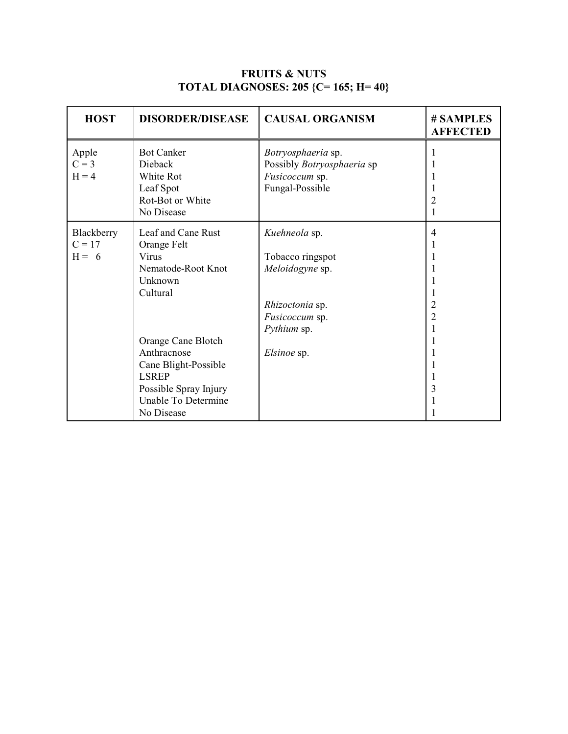| <b>FRUITS &amp; NUTS</b>                    |  |  |
|---------------------------------------------|--|--|
| <b>TOTAL DIAGNOSES: 205 {C= 165; H= 40}</b> |  |  |

| <b>HOST</b>                       | <b>DISORDER/DISEASE</b>                                                                                                                                                                                                            | <b>CAUSAL ORGANISM</b>                                                                                                  | # SAMPLES<br><b>AFFECTED</b>  |
|-----------------------------------|------------------------------------------------------------------------------------------------------------------------------------------------------------------------------------------------------------------------------------|-------------------------------------------------------------------------------------------------------------------------|-------------------------------|
| Apple<br>$C = 3$<br>$H = 4$       | <b>Bot Canker</b><br>Dieback<br>White Rot<br>Leaf Spot<br>Rot-Bot or White<br>No Disease                                                                                                                                           | Botryosphaeria sp.<br>Possibly Botryosphaeria sp<br>Fusicoccum sp.<br>Fungal-Possible                                   |                               |
| Blackberry<br>$C = 17$<br>$H = 6$ | Leaf and Cane Rust<br>Orange Felt<br>Virus<br>Nematode-Root Knot<br>Unknown<br>Cultural<br>Orange Cane Blotch<br>Anthracnose<br>Cane Blight-Possible<br><b>LSREP</b><br>Possible Spray Injury<br>Unable To Determine<br>No Disease | Kuehneola sp.<br>Tobacco ringspot<br>Meloidogyne sp.<br>Rhizoctonia sp.<br>Fusicoccum sp.<br>Pythium sp.<br>Elsinoe sp. | 4<br>2<br>$\overline{2}$<br>3 |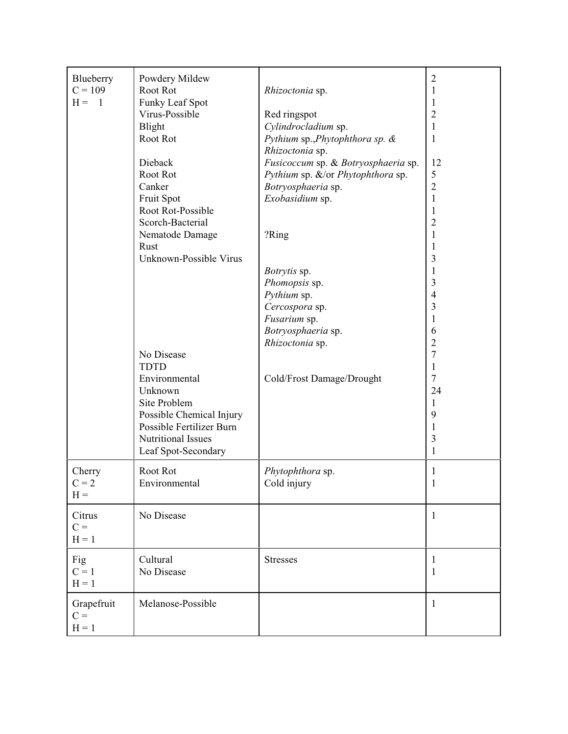| Blueberry<br>$C = 109$<br>$H = 1$ | Powdery Mildew<br>Root Rot<br>Funky Leaf Spot<br>Virus-Possible<br>Blight<br>Root Rot<br>Dieback<br>Root Rot<br>Canker<br>Fruit Spot<br>Root Rot-Possible<br>Scorch-Bacterial<br>Nematode Damage<br>Rust<br>Unknown-Possible Virus<br>No Disease | Rhizoctonia sp.<br>Red ringspot<br>Cylindrocladium sp.<br>Pythium sp., Phytophthora sp. &<br>Rhizoctonia sp.<br>Fusicoccum sp. & Botryosphaeria sp.<br>Pythium sp. &/or Phytophthora sp.<br>Botryosphaeria sp.<br>Exobasidium sp.<br>?Ring<br>Botrytis sp.<br>Phomopsis sp.<br>Pythium sp.<br>Cercospora sp.<br>Fusarium sp.<br>Botryosphaeria sp.<br>Rhizoctonia sp. | $\overline{c}$<br>1<br>$\overline{c}$<br>1<br>1<br>12<br>5<br>$\overline{c}$<br>1<br>1<br>2<br>1<br>3<br>3<br>$\overline{4}$<br>3<br>1<br>6<br>$\overline{c}$<br>7 |
|-----------------------------------|--------------------------------------------------------------------------------------------------------------------------------------------------------------------------------------------------------------------------------------------------|-----------------------------------------------------------------------------------------------------------------------------------------------------------------------------------------------------------------------------------------------------------------------------------------------------------------------------------------------------------------------|--------------------------------------------------------------------------------------------------------------------------------------------------------------------|
|                                   | <b>TDTD</b><br>Environmental<br>Unknown<br>Site Problem<br>Possible Chemical Injury<br>Possible Fertilizer Burn<br>Nutritional Issues<br>Leaf Spot-Secondary                                                                                     | Cold/Frost Damage/Drought                                                                                                                                                                                                                                                                                                                                             | 1<br>7<br>24<br>1<br>9<br>3<br>1                                                                                                                                   |
| Cherry<br>$C = 2$<br>$H =$        | Root Rot<br>Environmental                                                                                                                                                                                                                        | Phytophthora sp.<br>Cold injury                                                                                                                                                                                                                                                                                                                                       | 1<br>$\mathbf{I}$                                                                                                                                                  |
| Citrus<br>$C =$<br>$H = 1$        | No Disease                                                                                                                                                                                                                                       |                                                                                                                                                                                                                                                                                                                                                                       | $\mathbf{1}$                                                                                                                                                       |
| Fig<br>$C = 1$<br>$H = 1$         | Cultural<br>No Disease                                                                                                                                                                                                                           | <b>Stresses</b>                                                                                                                                                                                                                                                                                                                                                       | 1<br>1                                                                                                                                                             |
| Grapefruit<br>$C =$<br>$H = 1$    | Melanose-Possible                                                                                                                                                                                                                                |                                                                                                                                                                                                                                                                                                                                                                       | 1                                                                                                                                                                  |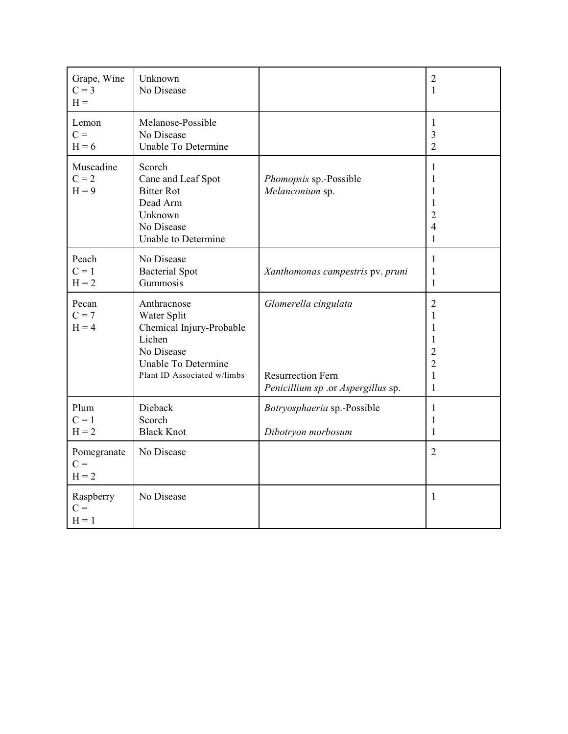| Grape, Wine<br>$C = 3$<br>$H =$ | Unknown<br>No Disease                                                                                                                |                                                                                        | $\sqrt{2}$<br>$\mathbf{1}$                                            |
|---------------------------------|--------------------------------------------------------------------------------------------------------------------------------------|----------------------------------------------------------------------------------------|-----------------------------------------------------------------------|
| Lemon<br>$C =$<br>$H = 6$       | Melanose-Possible<br>No Disease<br>Unable To Determine                                                                               |                                                                                        | 1<br>3<br>$\overline{2}$                                              |
| Muscadine<br>$C = 2$<br>$H = 9$ | Scorch<br>Cane and Leaf Spot<br><b>Bitter Rot</b><br>Dead Arm<br>Unknown<br>No Disease<br>Unable to Determine                        | Phomopsis sp.-Possible<br>Melanconium sp.                                              | 1<br>1<br>1<br>1<br>$\overline{2}$<br>4<br>1                          |
| Peach<br>$C = 1$<br>$H = 2$     | No Disease<br><b>Bacterial Spot</b><br>Gummosis                                                                                      | Xanthomonas campestris pv. pruni                                                       | 1<br>1<br>1                                                           |
| Pecan<br>$C = 7$<br>$H = 4$     | Anthracnose<br>Water Split<br>Chemical Injury-Probable<br>Lichen<br>No Disease<br>Unable To Determine<br>Plant ID Associated w/limbs | Glomerella cingulata<br><b>Resurrection Fern</b><br>Penicillium sp .or Aspergillus sp. | $\sqrt{2}$<br>1<br>1<br>1<br>2<br>$\overline{2}$<br>$\mathbf{1}$<br>1 |
| Plum<br>$C = 1$<br>$H = 2$      | Dieback<br>Scorch<br><b>Black Knot</b>                                                                                               | Botryosphaeria sp.-Possible<br>Dibotryon morbosum                                      | $\mathbf{1}$<br>1<br>$\mathbf{1}$                                     |
| Pomegranate<br>$C =$<br>$H = 2$ | No Disease                                                                                                                           |                                                                                        | $\overline{2}$                                                        |
| Raspberry<br>$C =$<br>$H = 1$   | No Disease                                                                                                                           |                                                                                        | $\mathbf{1}$                                                          |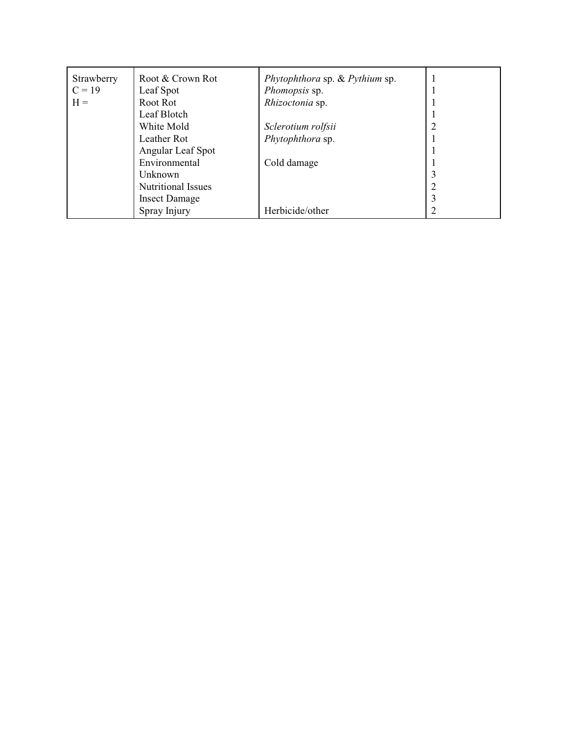| Strawberry | Root & Crown Rot          | Phytophthora sp. & Pythium sp. |  |
|------------|---------------------------|--------------------------------|--|
| $C = 19$   | Leaf Spot                 | Phomopsis sp.                  |  |
| $H =$      | Root Rot                  | Rhizoctonia sp.                |  |
|            | Leaf Blotch               |                                |  |
|            | White Mold                | Sclerotium rolfsii             |  |
|            | Leather Rot               | Phytophthora sp.               |  |
|            | Angular Leaf Spot         |                                |  |
|            | Environmental             | Cold damage                    |  |
|            | Unknown                   |                                |  |
|            | <b>Nutritional Issues</b> |                                |  |
|            | <b>Insect Damage</b>      |                                |  |
|            | Spray Injury              | Herbicide/other                |  |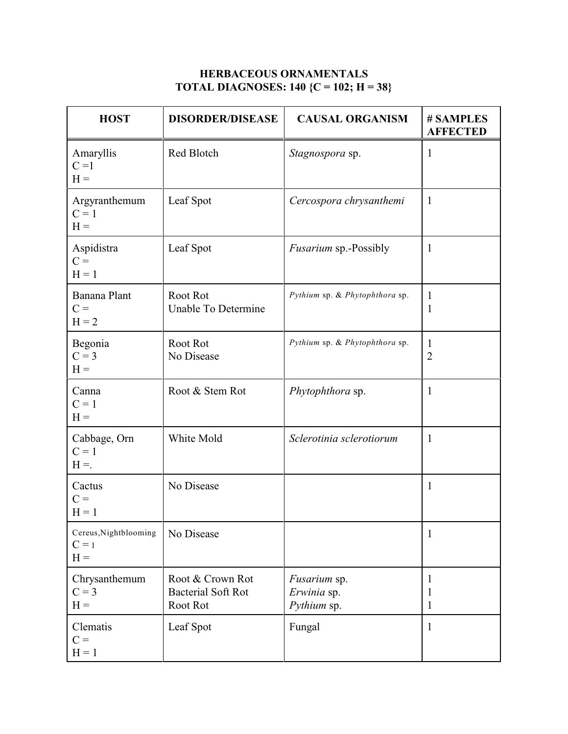### **HERBACEOUS ORNAMENTALS TOTAL DIAGNOSES: 140 {C = 102; H = 38}**

| <b>HOST</b>                               | <b>DISORDER/DISEASE</b>                                   | <b>CAUSAL ORGANISM</b>                            | # SAMPLES<br><b>AFFECTED</b> |
|-------------------------------------------|-----------------------------------------------------------|---------------------------------------------------|------------------------------|
| Amaryllis<br>$C = 1$<br>$H =$             | Red Blotch                                                | Stagnospora sp.                                   | $\mathbf{1}$                 |
| Argyranthemum<br>$C = 1$<br>$H =$         | Leaf Spot                                                 | Cercospora chrysanthemi                           | $\mathbf{1}$                 |
| Aspidistra<br>$C =$<br>$H = 1$            | Leaf Spot                                                 | <i>Fusarium</i> sp.-Possibly                      | $\mathbf{1}$                 |
| Banana Plant<br>$C =$<br>$H = 2$          | Root Rot<br>Unable To Determine                           | Pythium sp. & Phytophthora sp.                    | 1<br>1                       |
| Begonia<br>$C = 3$<br>$H =$               | Root Rot<br>No Disease                                    | Pythium sp. & Phytophthora sp.                    | 1<br>$\overline{2}$          |
| Canna<br>$C = 1$<br>$H =$                 | Root & Stem Rot                                           | Phytophthora sp.                                  | $\mathbf{1}$                 |
| Cabbage, Orn<br>$C = 1$<br>$H =$          | White Mold                                                | Sclerotinia sclerotiorum                          | $\mathbf{1}$                 |
| Cactus<br>$C =$<br>$H = 1$                | No Disease                                                |                                                   | 1                            |
| Cereus, Nightblooming<br>$C = 1$<br>$H =$ | No Disease                                                |                                                   | $\mathbf{1}$                 |
| Chrysanthemum<br>$C = 3$<br>$H =$         | Root & Crown Rot<br><b>Bacterial Soft Rot</b><br>Root Rot | <i>Fusarium</i> sp.<br>Erwinia sp.<br>Pythium sp. | 1<br>1<br>1                  |
| Clematis<br>$C =$<br>$H = 1$              | Leaf Spot                                                 | Fungal                                            | $\mathbf{1}$                 |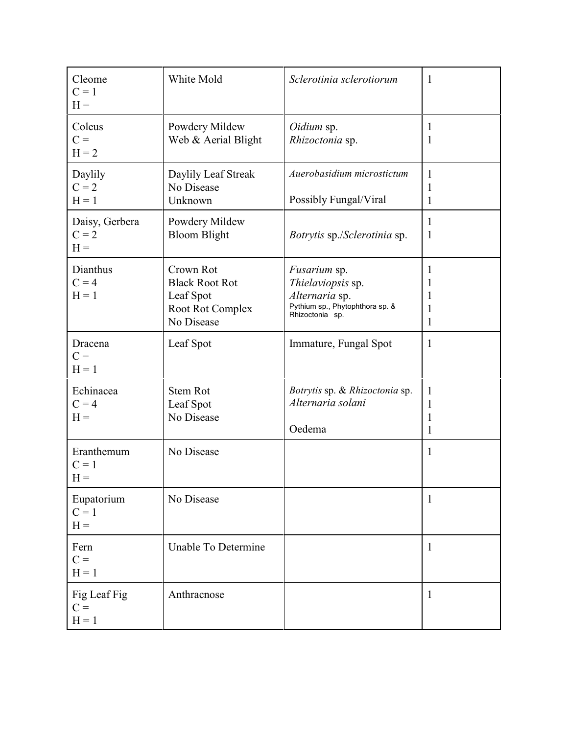| Cleome<br>$C = 1$<br>$H =$         | White Mold                                                                        | Sclerotinia sclerotiorum                                                                                         | $\mathbf{1}$                |
|------------------------------------|-----------------------------------------------------------------------------------|------------------------------------------------------------------------------------------------------------------|-----------------------------|
| Coleus<br>$C =$<br>$H = 2$         | Powdery Mildew<br>Web & Aerial Blight                                             | Oidium sp.<br>Rhizoctonia sp.                                                                                    | $\mathbf{1}$<br>1           |
| Daylily<br>$C = 2$<br>$H = 1$      | Daylily Leaf Streak<br>No Disease<br>Unknown                                      | Auerobasidium microstictum<br>Possibly Fungal/Viral                                                              | $\mathbf{1}$<br>1<br>1      |
| Daisy, Gerbera<br>$C = 2$<br>$H =$ | Powdery Mildew<br><b>Bloom Blight</b>                                             | Botrytis sp./Sclerotinia sp.                                                                                     | $\mathbf{1}$<br>1           |
| Dianthus<br>$C = 4$<br>$H = 1$     | Crown Rot<br><b>Black Root Rot</b><br>Leaf Spot<br>Root Rot Complex<br>No Disease | <i>Fusarium</i> sp.<br>Thielaviopsis sp.<br>Alternaria sp.<br>Pythium sp., Phytophthora sp. &<br>Rhizoctonia sp. | 1<br>1<br>1<br>1<br>1       |
| Dracena<br>$C =$<br>$H = 1$        | Leaf Spot                                                                         | Immature, Fungal Spot                                                                                            | 1                           |
| Echinacea<br>$C = 4$<br>$H =$      | <b>Stem Rot</b><br>Leaf Spot<br>No Disease                                        | Botrytis sp. & Rhizoctonia sp.<br>Alternaria solani<br>Oedema                                                    | 1<br>1<br>1<br>$\mathbf{1}$ |
| Eranthemum<br>$C = 1$<br>$H =$     | No Disease                                                                        |                                                                                                                  | $\mathbf{1}$                |
| Eupatorium<br>$C = 1$<br>$H =$     | No Disease                                                                        |                                                                                                                  | 1                           |
| Fern<br>$C =$<br>$H = 1$           | Unable To Determine                                                               |                                                                                                                  | $\mathbf{1}$                |
| Fig Leaf Fig<br>$C =$<br>$H = 1$   | Anthracnose                                                                       |                                                                                                                  | $\mathbf{1}$                |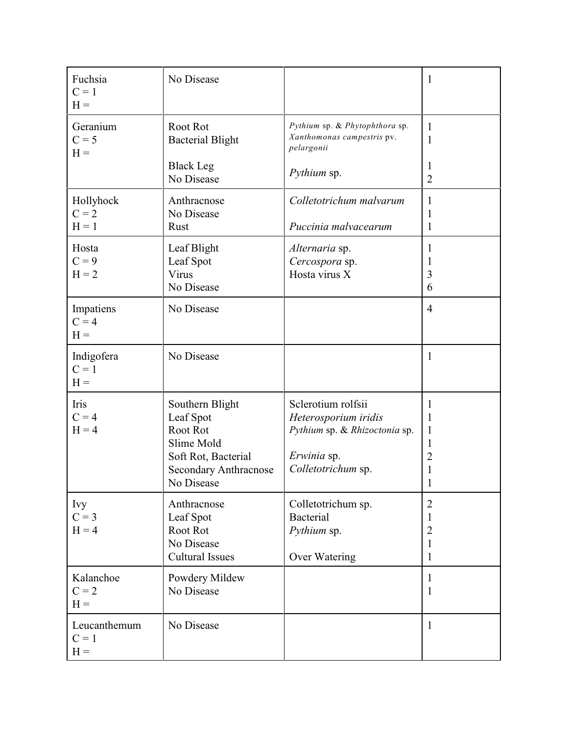| Fuchsia<br>$C = 1$<br>$H =$      | No Disease                                                                                                                  |                                                                                                                  | $\mathbf{1}$                                               |
|----------------------------------|-----------------------------------------------------------------------------------------------------------------------------|------------------------------------------------------------------------------------------------------------------|------------------------------------------------------------|
| Geranium<br>$C = 5$<br>$H =$     | Root Rot<br><b>Bacterial Blight</b><br><b>Black Leg</b><br>No Disease                                                       | Pythium sp. & Phytophthora sp.<br>Xanthomonas campestris pv.<br>pelargonii<br>Pythium sp.                        | 1<br>1<br>1<br>$\overline{2}$                              |
| Hollyhock<br>$C = 2$<br>$H = 1$  | Anthracnose<br>No Disease<br>Rust                                                                                           | Colletotrichum malvarum<br>Puccinia malvacearum                                                                  | 1<br>1<br>1                                                |
| Hosta<br>$C = 9$<br>$H = 2$      | Leaf Blight<br>Leaf Spot<br>Virus<br>No Disease                                                                             | Alternaria sp.<br>Cercospora sp.<br>Hosta virus X                                                                | 1<br>1<br>3<br>6                                           |
| Impatiens<br>$C = 4$<br>$H =$    | No Disease                                                                                                                  |                                                                                                                  | $\overline{4}$                                             |
| Indigofera<br>$C = 1$<br>$H =$   | No Disease                                                                                                                  |                                                                                                                  | 1                                                          |
| Iris<br>$C = 4$<br>$H = 4$       | Southern Blight<br>Leaf Spot<br>Root Rot<br>Slime Mold<br>Soft Rot, Bacterial<br><b>Secondary Anthracnose</b><br>No Disease | Sclerotium rolfsii<br>Heterosporium iridis<br>Pythium sp. & Rhizoctonia sp.<br>Erwinia sp.<br>Colletotrichum sp. | 1<br>1<br>1<br>1<br>2<br>$\perp$                           |
| <b>Ivy</b><br>$C = 3$<br>$H = 4$ | Anthracnose<br>Leaf Spot<br>Root Rot<br>No Disease<br><b>Cultural Issues</b>                                                | Colletotrichum sp.<br><b>Bacterial</b><br>Pythium sp.<br>Over Watering                                           | $\overline{2}$<br>1<br>$\overline{2}$<br>$\mathbf{1}$<br>1 |
| Kalanchoe<br>$C = 2$<br>$H =$    | Powdery Mildew<br>No Disease                                                                                                |                                                                                                                  | $\mathbf{1}$<br>1                                          |
| Leucanthemum<br>$C = 1$<br>$H =$ | No Disease                                                                                                                  |                                                                                                                  | $\mathbf{1}$                                               |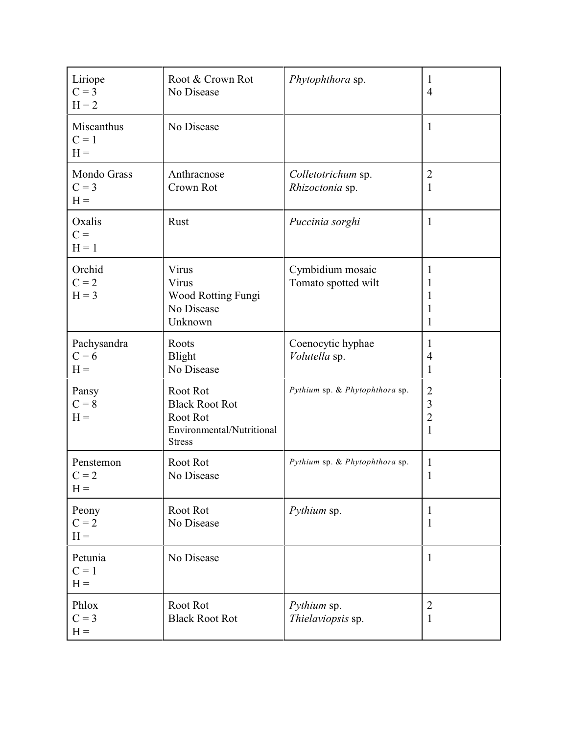| Liriope<br>$C = 3$<br>$H = 2$   | Root & Crown Rot<br>No Disease                                                              | Phytophthora sp.                        | 1<br>$\overline{4}$                                            |
|---------------------------------|---------------------------------------------------------------------------------------------|-----------------------------------------|----------------------------------------------------------------|
| Miscanthus<br>$C = 1$<br>$H =$  | No Disease                                                                                  |                                         | $\mathbf{1}$                                                   |
| Mondo Grass<br>$C = 3$<br>$H =$ | Anthracnose<br>Crown Rot                                                                    | Colletotrichum sp.<br>Rhizoctonia sp.   | $\overline{2}$<br>$\mathbf{1}$                                 |
| Oxalis<br>$C =$<br>$H = 1$      | Rust                                                                                        | Puccinia sorghi                         | $\mathbf{1}$                                                   |
| Orchid<br>$C = 2$<br>$H = 3$    | Virus<br>Virus<br>Wood Rotting Fungi<br>No Disease<br>Unknown                               | Cymbidium mosaic<br>Tomato spotted wilt | 1<br>1<br>1<br>1<br>$\mathbf{1}$                               |
| Pachysandra<br>$C = 6$<br>$H =$ | Roots<br>Blight<br>No Disease                                                               | Coenocytic hyphae<br>Volutella sp.      | 1<br>4<br>1                                                    |
| Pansy<br>$C = 8$<br>$H =$       | Root Rot<br><b>Black Root Rot</b><br>Root Rot<br>Environmental/Nutritional<br><b>Stress</b> | Pythium sp. & Phytophthora sp.          | $\mathbf{2}$<br>$\mathfrak{Z}$<br>$\mathbf{2}$<br>$\mathbf{1}$ |
| Penstemon<br>$C = 2$<br>$H =$   | Root Rot<br>No Disease                                                                      | Pythium sp. & Phytophthora sp.          | 1<br>1                                                         |
| Peony<br>$C = 2$<br>$H =$       | Root Rot<br>No Disease                                                                      | Pythium sp.                             | $\mathbf{1}$<br>$\mathbf{1}$                                   |
| Petunia<br>$C = 1$<br>$H =$     | No Disease                                                                                  |                                         | $\mathbf{1}$                                                   |
| Phlox<br>$C = 3$<br>$H =$       | Root Rot<br><b>Black Root Rot</b>                                                           | Pythium sp.<br>Thielaviopsis sp.        | $\overline{2}$<br>$\mathbf{1}$                                 |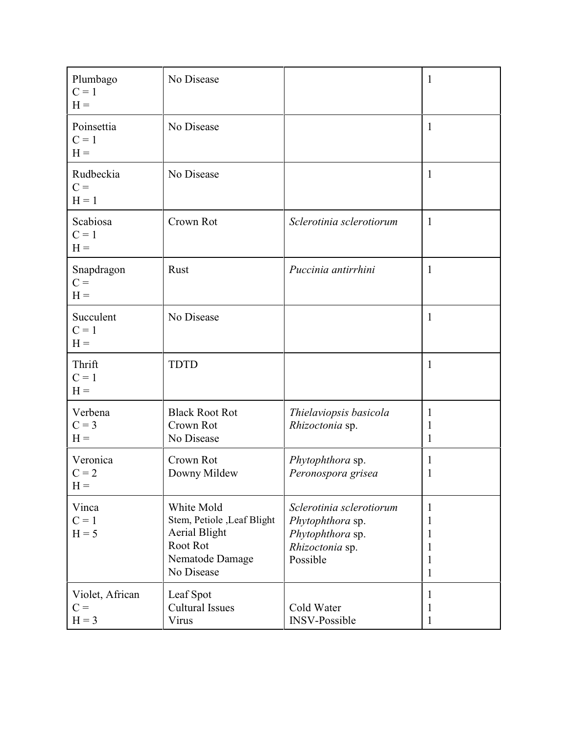| Plumbago<br>$C = 1$<br>$H =$        | No Disease                                                                                                     |                                                                                                 | $\mathbf{1}$               |
|-------------------------------------|----------------------------------------------------------------------------------------------------------------|-------------------------------------------------------------------------------------------------|----------------------------|
| Poinsettia<br>$C = 1$<br>$H =$      | No Disease                                                                                                     |                                                                                                 | $\mathbf{1}$               |
| Rudbeckia<br>$C =$<br>$H = 1$       | No Disease                                                                                                     |                                                                                                 | $\mathbf 1$                |
| Scabiosa<br>$C = 1$<br>$H =$        | Crown Rot                                                                                                      | Sclerotinia sclerotiorum                                                                        | $\mathbf{1}$               |
| Snapdragon<br>$C =$<br>$H =$        | Rust                                                                                                           | Puccinia antirrhini                                                                             | 1                          |
| Succulent<br>$C = 1$<br>$H =$       | No Disease                                                                                                     |                                                                                                 | $\mathbf{1}$               |
| Thrift<br>$C = 1$<br>$H =$          | <b>TDTD</b>                                                                                                    |                                                                                                 | $\mathbf{1}$               |
| Verbena<br>$C = 3$<br>$H =$         | <b>Black Root Rot</b><br>Crown Rot<br>No Disease                                                               | Thielaviopsis basicola<br>Rhizoctonia sp.                                                       | 1<br>1<br>1                |
| Veronica<br>$C = 2$<br>$H =$        | Crown Rot<br>Downy Mildew                                                                                      | Phytophthora sp.<br>Peronospora grisea                                                          | 1<br>1                     |
| Vinca<br>$C = 1$<br>$H = 5$         | White Mold<br>Stem, Petiole , Leaf Blight<br><b>Aerial Blight</b><br>Root Rot<br>Nematode Damage<br>No Disease | Sclerotinia sclerotiorum<br>Phytophthora sp.<br>Phytophthora sp.<br>Rhizoctonia sp.<br>Possible | 1<br>1<br>1<br>1<br>1<br>1 |
| Violet, African<br>$C =$<br>$H = 3$ | Leaf Spot<br><b>Cultural Issues</b><br>Virus                                                                   | Cold Water<br><b>INSV-Possible</b>                                                              | 1<br>1<br>1                |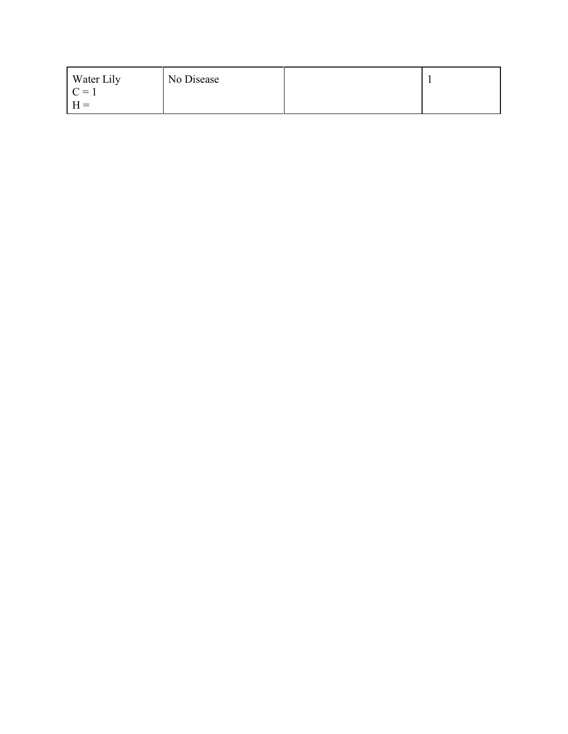| Water Lily | No Disease |  |
|------------|------------|--|
| $\Gamma =$ |            |  |
| $H =$      |            |  |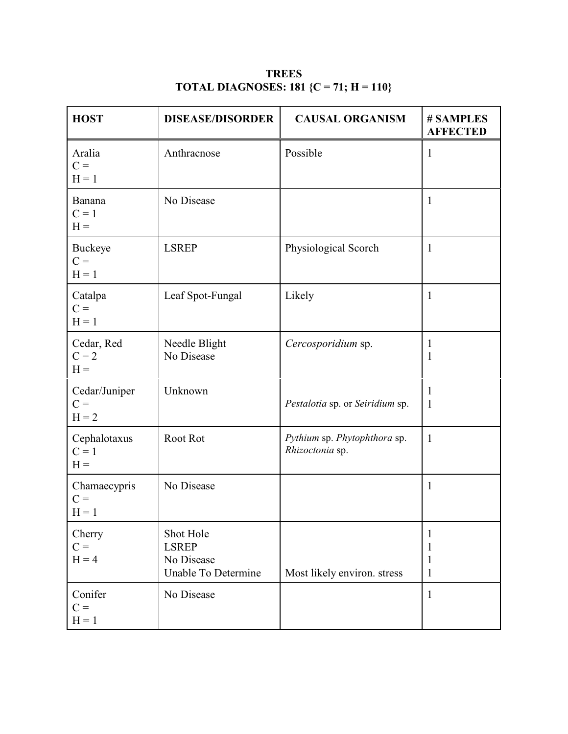| <b>HOST</b>                       | <b>DISEASE/DISORDER</b>                                        | <b>CAUSAL ORGANISM</b>                          | # SAMPLES<br><b>AFFECTED</b>           |
|-----------------------------------|----------------------------------------------------------------|-------------------------------------------------|----------------------------------------|
| Aralia<br>$C =$<br>$H = 1$        | Anthracnose                                                    | Possible                                        | $\mathbf{1}$                           |
| Banana<br>$C = 1$<br>$H =$        | No Disease                                                     |                                                 | $\mathbf{1}$                           |
| Buckeye<br>$C =$<br>$H = 1$       | <b>LSREP</b>                                                   | Physiological Scorch                            | $\mathbf{1}$                           |
| Catalpa<br>$C =$<br>$H = 1$       | Leaf Spot-Fungal                                               | Likely                                          | $\mathbf{1}$                           |
| Cedar, Red<br>$C = 2$<br>$H =$    | Needle Blight<br>No Disease                                    | Cercosporidium sp.                              | $\mathbf{1}$<br>1                      |
| Cedar/Juniper<br>$C =$<br>$H = 2$ | Unknown                                                        | Pestalotia sp. or Seiridium sp.                 | $\mathbf{1}$<br>1                      |
| Cephalotaxus<br>$C = 1$<br>$H =$  | Root Rot                                                       | Pythium sp. Phytophthora sp.<br>Rhizoctonia sp. | $\mathbf{1}$                           |
| Chamaecypris<br>$C =$<br>$H = 1$  | No Disease                                                     |                                                 | 1                                      |
| Cherry<br>$C =$<br>$H = 4$        | Shot Hole<br><b>LSREP</b><br>No Disease<br>Unable To Determine | Most likely environ. stress                     | $\mathbf{1}$<br>1<br>$\mathbf{1}$<br>1 |
| Conifer<br>$C =$<br>$H = 1$       | No Disease                                                     |                                                 | $\mathbf{1}$                           |

**TREES TOTAL DIAGNOSES: 181 {C = 71; H = 110}**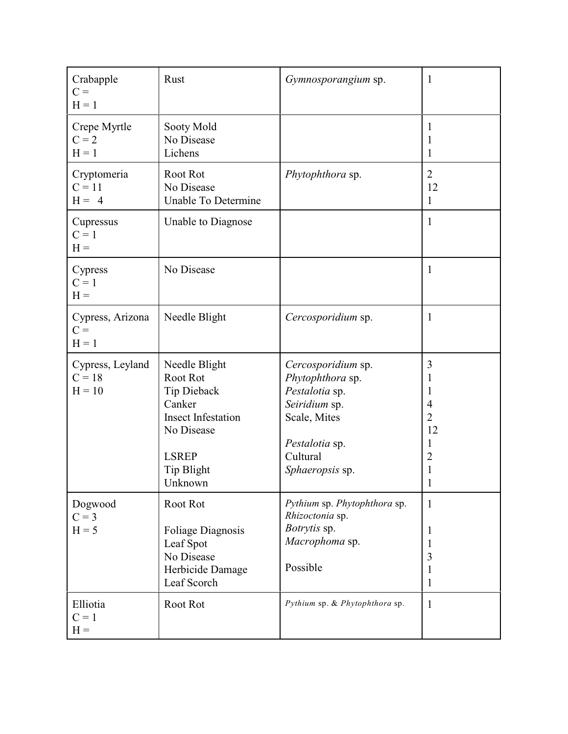| Crabapple<br>$C =$<br>$H = 1$            | Rust                                                                                                                                   | Gymnosporangium sp.                                                                                                                        | $\mathbf{1}$                                                                                                 |
|------------------------------------------|----------------------------------------------------------------------------------------------------------------------------------------|--------------------------------------------------------------------------------------------------------------------------------------------|--------------------------------------------------------------------------------------------------------------|
| Crepe Myrtle<br>$C = 2$<br>$H = 1$       | Sooty Mold<br>No Disease<br>Lichens                                                                                                    |                                                                                                                                            | $\mathbf{1}$<br>1<br>1                                                                                       |
| Cryptomeria<br>$C = 11$<br>$H = 4$       | Root Rot<br>No Disease<br><b>Unable To Determine</b>                                                                                   | Phytophthora sp.                                                                                                                           | $\overline{2}$<br>12<br>1                                                                                    |
| Cupressus<br>$C = 1$<br>$H =$            | Unable to Diagnose                                                                                                                     |                                                                                                                                            | $\mathbf{1}$                                                                                                 |
| Cypress<br>$C = 1$<br>$H =$              | No Disease                                                                                                                             |                                                                                                                                            | 1                                                                                                            |
| Cypress, Arizona<br>$C =$<br>$H = 1$     | Needle Blight                                                                                                                          | Cercosporidium sp.                                                                                                                         | $\mathbf{1}$                                                                                                 |
| Cypress, Leyland<br>$C = 18$<br>$H = 10$ | Needle Blight<br>Root Rot<br>Tip Dieback<br>Canker<br><b>Insect Infestation</b><br>No Disease<br><b>LSREP</b><br>Tip Blight<br>Unknown | Cercosporidium sp.<br>Phytophthora sp.<br>Pestalotia sp.<br>Seiridium sp.<br>Scale, Mites<br>Pestalotia sp.<br>Cultural<br>Sphaeropsis sp. | $\mathfrak{Z}$<br>1<br>1<br>$\overline{4}$<br>$\overline{2}$<br>12<br>$\mathbf{1}$<br>2<br>1<br>$\mathbf{I}$ |
| Dogwood<br>$C = 3$<br>$H = 5$            | Root Rot<br><b>Foliage Diagnosis</b><br>Leaf Spot<br>No Disease<br>Herbicide Damage<br>Leaf Scorch                                     | Pythium sp. Phytophthora sp.<br>Rhizoctonia sp.<br>Botrytis sp.<br>Macrophoma sp.<br>Possible                                              | $\mathbf{1}$<br>1<br>1<br>3<br>1<br>1                                                                        |
| Elliotia<br>$C = 1$<br>$H =$             | Root Rot                                                                                                                               | Pythium sp. & Phytophthora sp.                                                                                                             | $\mathbf{1}$                                                                                                 |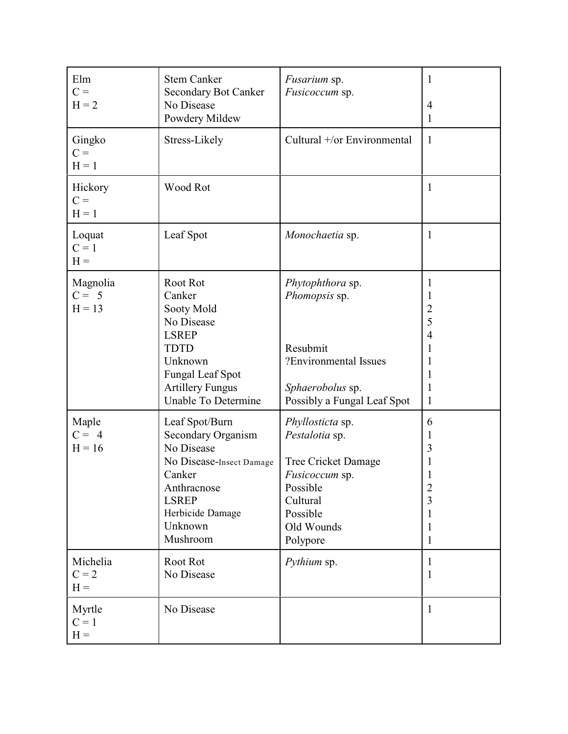| Elm<br>$C =$<br>$H = 2$         | <b>Stem Canker</b><br><b>Secondary Bot Canker</b><br>No Disease<br>Powdery Mildew                                                                                  | <i>Fusarium</i> sp.<br>Fusicoccum sp.                                                                                                                   | $\mathbf{1}$<br>$\overline{4}$<br>1                                      |
|---------------------------------|--------------------------------------------------------------------------------------------------------------------------------------------------------------------|---------------------------------------------------------------------------------------------------------------------------------------------------------|--------------------------------------------------------------------------|
| Gingko<br>$C =$<br>$H = 1$      | Stress-Likely                                                                                                                                                      | Cultural +/or Environmental                                                                                                                             | 1                                                                        |
| Hickory<br>$C =$<br>$H = 1$     | Wood Rot                                                                                                                                                           |                                                                                                                                                         | $\mathbf{1}$                                                             |
| Loquat<br>$C = 1$<br>$H =$      | Leaf Spot                                                                                                                                                          | Monochaetia sp.                                                                                                                                         | 1                                                                        |
| Magnolia<br>$C = 5$<br>$H = 13$ | Root Rot<br>Canker<br>Sooty Mold<br>No Disease<br><b>LSREP</b><br><b>TDTD</b><br>Unknown<br>Fungal Leaf Spot<br><b>Artillery Fungus</b><br>Unable To Determine     | Phytophthora sp.<br>Phomopsis sp.<br>Resubmit<br>?Environmental Issues<br>Sphaerobolus sp.<br>Possibly a Fungal Leaf Spot                               | 1<br>1<br>$\overline{2}$<br>5<br>$\overline{4}$<br>1<br>1<br>1<br>1<br>1 |
| Maple<br>$C = 4$<br>$H = 16$    | Leaf Spot/Burn<br>Secondary Organism<br>No Disease<br>No Disease-Insect Damage<br>Canker<br>Anthracnose<br><b>LSREP</b><br>Herbicide Damage<br>Unknown<br>Mushroom | Phyllosticta sp.<br>Pestalotia sp.<br><b>Tree Cricket Damage</b><br><i>Fusicoccum</i> sp.<br>Possible<br>Cultural<br>Possible<br>Old Wounds<br>Polypore | 6<br>1<br>3<br>1<br>1<br>$\overline{2}$<br>3<br>1<br>1<br>1              |
| Michelia<br>$C = 2$<br>$H =$    | Root Rot<br>No Disease                                                                                                                                             | Pythium sp.                                                                                                                                             | 1<br>1                                                                   |
| Myrtle<br>$C = 1$<br>$H =$      | No Disease                                                                                                                                                         |                                                                                                                                                         | $\mathbf{1}$                                                             |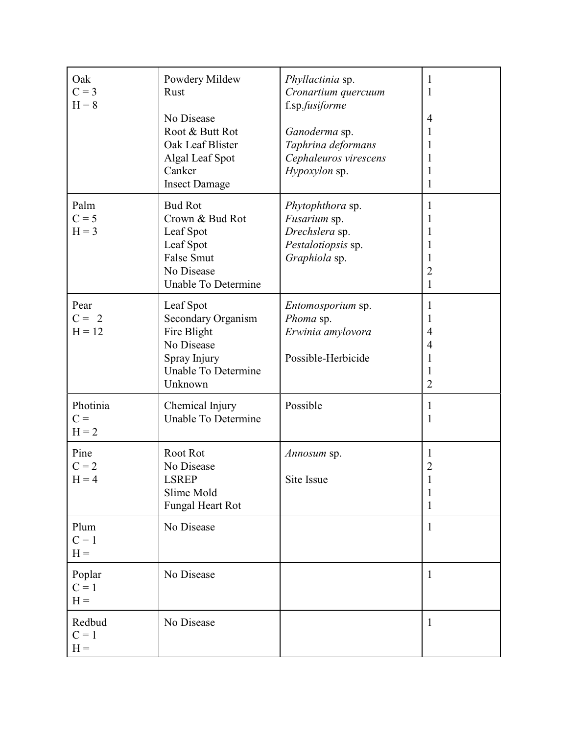| Oak<br>$C = 3$<br>$H = 8$    | Powdery Mildew<br>Rust<br>No Disease<br>Root & Butt Rot<br>Oak Leaf Blister<br>Algal Leaf Spot<br>Canker<br><b>Insect Damage</b> | Phyllactinia sp.<br>Cronartium quercuum<br>f.sp.fusiforme<br>Ganoderma sp.<br>Taphrina deformans<br>Cephaleuros virescens<br>Hypoxylon sp. | 1<br>1<br>$\overline{4}$<br>1<br>1<br>1<br>1<br>$\mathbf{1}$           |
|------------------------------|----------------------------------------------------------------------------------------------------------------------------------|--------------------------------------------------------------------------------------------------------------------------------------------|------------------------------------------------------------------------|
| Palm<br>$C = 5$<br>$H = 3$   | <b>Bud Rot</b><br>Crown & Bud Rot<br>Leaf Spot<br>Leaf Spot<br><b>False Smut</b><br>No Disease<br>Unable To Determine            | Phytophthora sp.<br>Fusarium sp.<br>Drechslera sp.<br>Pestalotiopsis sp.<br>Graphiola sp.                                                  | 1<br>1<br>1<br>1<br>1<br>$\overline{2}$<br>$\mathbf{1}$                |
| Pear<br>$C = 2$<br>$H = 12$  | Leaf Spot<br><b>Secondary Organism</b><br>Fire Blight<br>No Disease<br>Spray Injury<br>Unable To Determine<br>Unknown            | Entomosporium sp.<br>Phoma sp.<br>Erwinia amylovora<br>Possible-Herbicide                                                                  | 1<br>1<br>$\overline{4}$<br>$\overline{4}$<br>1<br>1<br>$\overline{2}$ |
| Photinia<br>$C =$<br>$H = 2$ | Chemical Injury<br>Unable To Determine                                                                                           | Possible                                                                                                                                   | $\mathbf{1}$<br>$\mathbf{1}$                                           |
| Pine<br>$C = 2$<br>$H = 4$   | Root Rot<br>No Disease<br><b>LSREP</b><br>Slime Mold<br><b>Fungal Heart Rot</b>                                                  | Annosum sp.<br>Site Issue                                                                                                                  | 1<br>$\overline{2}$<br>1<br>1                                          |
| Plum<br>$C = 1$<br>$H =$     | No Disease                                                                                                                       |                                                                                                                                            | $\mathbf{1}$                                                           |
| Poplar<br>$C = 1$<br>$H =$   | No Disease                                                                                                                       |                                                                                                                                            | $\mathbf{1}$                                                           |
| Redbud<br>$C = 1$<br>$H =$   | No Disease                                                                                                                       |                                                                                                                                            | $\mathbf{1}$                                                           |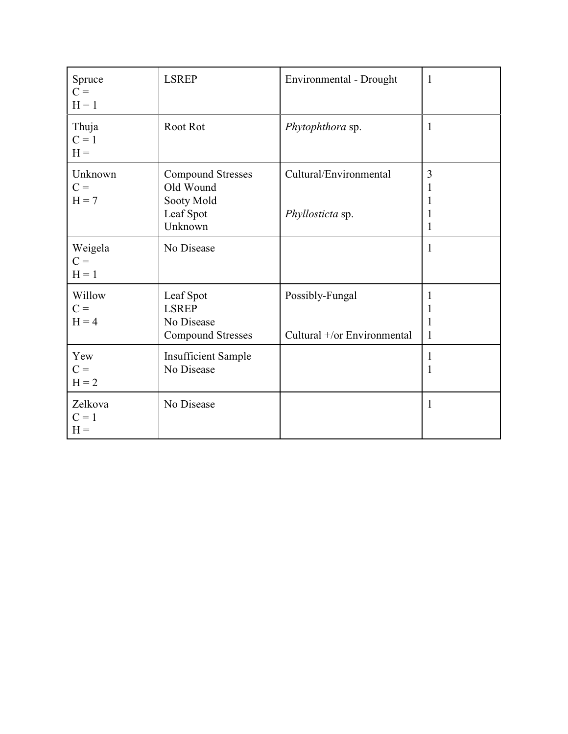| Spruce<br>$C =$<br>$H = 1$  | <b>LSREP</b>                                                                | Environmental - Drought                        | $\mathbf{1}$                 |
|-----------------------------|-----------------------------------------------------------------------------|------------------------------------------------|------------------------------|
| Thuja<br>$C = 1$<br>$H =$   | Root Rot                                                                    | Phytophthora sp.                               | $\mathbf{1}$                 |
| Unknown<br>$C =$<br>$H = 7$ | <b>Compound Stresses</b><br>Old Wound<br>Sooty Mold<br>Leaf Spot<br>Unknown | Cultural/Environmental<br>Phyllosticta sp.     | 3<br>1<br>1<br>1<br>1        |
| Weigela<br>$C =$<br>$H = 1$ | No Disease                                                                  |                                                | 1                            |
| Willow<br>$C =$<br>$H = 4$  | Leaf Spot<br><b>LSREP</b><br>No Disease<br><b>Compound Stresses</b>         | Possibly-Fungal<br>Cultural +/or Environmental | 1<br>$\mathbf{1}$<br>1<br>1  |
| Yew<br>$C =$<br>$H = 2$     | <b>Insufficient Sample</b><br>No Disease                                    |                                                | $\mathbf{1}$<br>$\mathbf{1}$ |
| Zelkova<br>$C = 1$<br>$H =$ | No Disease                                                                  |                                                | $\mathbf{1}$                 |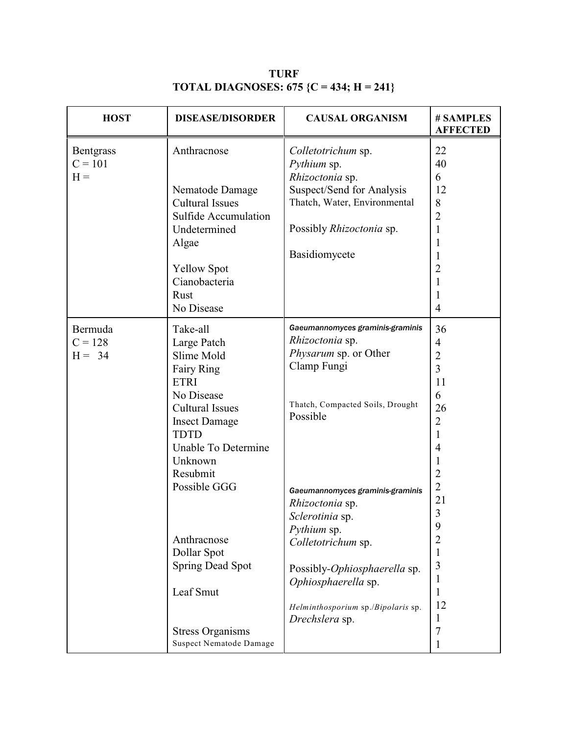| <b>HOST</b>                            | <b>DISEASE/DISORDER</b>                                                                                                                                                                         | <b>CAUSAL ORGANISM</b>                                                                                                                                                                                                     | # SAMPLES<br><b>AFFECTED</b>                                                                                                                                   |
|----------------------------------------|-------------------------------------------------------------------------------------------------------------------------------------------------------------------------------------------------|----------------------------------------------------------------------------------------------------------------------------------------------------------------------------------------------------------------------------|----------------------------------------------------------------------------------------------------------------------------------------------------------------|
| <b>Bentgrass</b><br>$C = 101$<br>$H =$ | Anthracnose<br>Nematode Damage<br><b>Cultural Issues</b><br><b>Sulfide Accumulation</b><br>Undetermined<br>Algae<br><b>Yellow Spot</b><br>Cianobacteria<br>Rust<br>No Disease                   | Colletotrichum sp.<br>Pythium sp.<br>Rhizoctonia sp.<br>Suspect/Send for Analysis<br>Thatch, Water, Environmental<br>Possibly Rhizoctonia sp.<br>Basidiomycete                                                             | 22<br>40<br>6<br>12<br>8<br>$\overline{c}$<br>1<br>$\mathbf{1}$<br>1<br>$\overline{2}$<br>$\mathbf 1$<br>1<br>$\overline{4}$                                   |
| Bermuda<br>$C = 128$<br>$H = 34$       | Take-all<br>Large Patch<br>Slime Mold<br>Fairy Ring<br><b>ETRI</b><br>No Disease<br><b>Cultural Issues</b><br><b>Insect Damage</b><br><b>TDTD</b><br>Unable To Determine<br>Unknown<br>Resubmit | Gaeumannomyces graminis-graminis<br>Rhizoctonia sp.<br><i>Physarum</i> sp. or Other<br>Clamp Fungi<br>Thatch, Compacted Soils, Drought<br>Possible                                                                         | 36<br>$\overline{\mathcal{A}}$<br>$\overline{c}$<br>$\overline{3}$<br>11<br>6<br>26<br>$\overline{2}$<br>1<br>$\overline{4}$<br>$\mathbf{1}$<br>$\overline{c}$ |
|                                        | Possible GGG<br>Anthracnose<br>Dollar Spot<br><b>Spring Dead Spot</b><br>Leaf Smut<br><b>Stress Organisms</b><br><b>Suspect Nematode Damage</b>                                                 | Gaeumannomyces graminis-graminis<br>Rhizoctonia sp.<br>Sclerotinia sp.<br>Pythium sp.<br>Colletotrichum sp.<br>Possibly-Ophiosphaerella sp.<br>Ophiosphaerella sp.<br>Helminthosporium sp./Bipolaris sp.<br>Drechslera sp. | $\overline{2}$<br>21<br>$\overline{3}$<br>9<br>$\overline{2}$<br>1<br>3<br>1<br>1<br>12<br>1<br>7<br>1                                                         |

**TURF TOTAL DIAGNOSES: 675 {C = 434; H = 241}**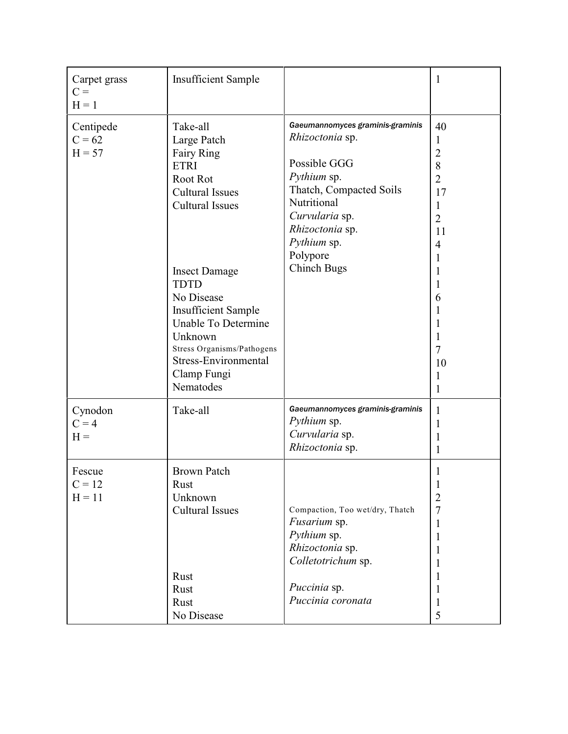| Carpet grass<br>$C =$<br>$H = 1$  | <b>Insufficient Sample</b>                                                                                                                                                                                                                                                                                                  |                                                                                                                                                                                                                    | $\mathbf{1}$                                                                                                                                         |
|-----------------------------------|-----------------------------------------------------------------------------------------------------------------------------------------------------------------------------------------------------------------------------------------------------------------------------------------------------------------------------|--------------------------------------------------------------------------------------------------------------------------------------------------------------------------------------------------------------------|------------------------------------------------------------------------------------------------------------------------------------------------------|
| Centipede<br>$C = 62$<br>$H = 57$ | Take-all<br>Large Patch<br>Fairy Ring<br><b>ETRI</b><br>Root Rot<br><b>Cultural Issues</b><br><b>Cultural Issues</b><br><b>Insect Damage</b><br><b>TDTD</b><br>No Disease<br><b>Insufficient Sample</b><br>Unable To Determine<br>Unknown<br>Stress Organisms/Pathogens<br>Stress-Environmental<br>Clamp Fungi<br>Nematodes | Gaeumannomyces graminis-graminis<br>Rhizoctonia sp.<br>Possible GGG<br>Pythium sp.<br>Thatch, Compacted Soils<br>Nutritional<br>Curvularia sp.<br>Rhizoctonia sp.<br>Pythium sp.<br>Polypore<br><b>Chinch Bugs</b> | 40<br>1<br>$\overline{2}$<br>8<br>$\overline{2}$<br>17<br>1<br>$\overline{2}$<br>11<br>$\overline{4}$<br>1<br>6<br>1<br>7<br>10<br>$\mathbf{1}$<br>1 |
| Cynodon<br>$C = 4$<br>$H =$       | Take-all                                                                                                                                                                                                                                                                                                                    | Gaeumannomyces graminis-graminis<br><i>Pythium</i> sp.<br>Curvularia sp.<br>Rhizoctonia sp.                                                                                                                        | 1<br>1<br>1<br>1                                                                                                                                     |
| Fescue<br>$C = 12$<br>$H = 11$    | <b>Brown Patch</b><br>Rust<br>Unknown<br><b>Cultural Issues</b><br>Rust<br>Rust<br>Rust<br>No Disease                                                                                                                                                                                                                       | Compaction, Too wet/dry, Thatch<br>Fusarium sp.<br>Pythium sp.<br>Rhizoctonia sp.<br>Colletotrichum sp.<br>Puccinia sp.<br>Puccinia coronata                                                                       | 1<br>1<br>$\overline{2}$<br>$\overline{7}$<br>1<br>$\mathbf{1}$<br>1<br>1<br>1<br>1<br>1<br>5                                                        |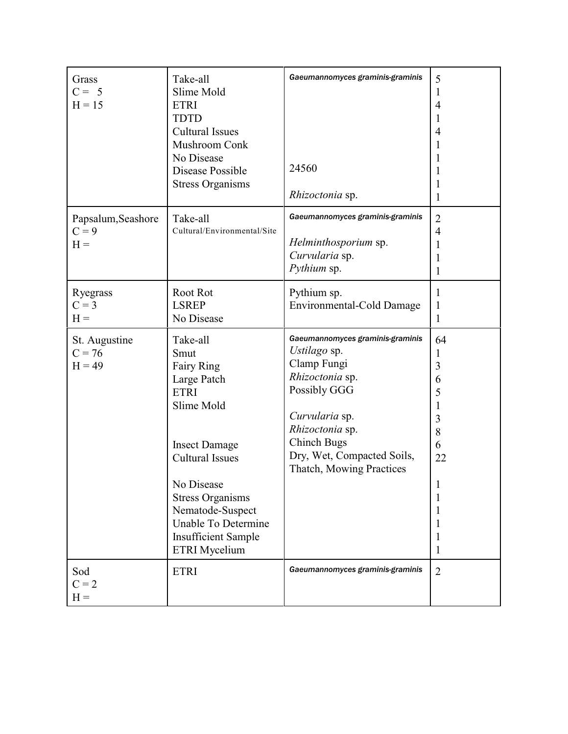| Grass<br>$C = 5$<br>$H = 15$           | Take-all<br>Slime Mold<br><b>ETRI</b><br><b>TDTD</b><br><b>Cultural Issues</b><br>Mushroom Conk<br>No Disease<br>Disease Possible<br><b>Stress Organisms</b>                                                                                                           | Gaeumannomyces graminis-graminis<br>24560<br>Rhizoctonia sp.                                                                                                                                                            | 5<br>1<br>$\overline{4}$<br>1<br>4<br>1<br>1                                    |
|----------------------------------------|------------------------------------------------------------------------------------------------------------------------------------------------------------------------------------------------------------------------------------------------------------------------|-------------------------------------------------------------------------------------------------------------------------------------------------------------------------------------------------------------------------|---------------------------------------------------------------------------------|
| Papsalum, Seashore<br>$C = 9$<br>$H =$ | Take-all<br>Cultural/Environmental/Site                                                                                                                                                                                                                                | Gaeumannomyces graminis-graminis<br>Helminthosporium sp.<br>Curvularia sp.<br>Pythium sp.                                                                                                                               | $\overline{2}$<br>$\overline{4}$<br>1<br>1<br>1                                 |
| Ryegrass<br>$C = 3$<br>$H =$           | Root Rot<br><b>LSREP</b><br>No Disease                                                                                                                                                                                                                                 | Pythium sp.<br>Environmental-Cold Damage                                                                                                                                                                                | 1<br>1<br>1                                                                     |
| St. Augustine<br>$C = 76$<br>$H = 49$  | Take-all<br>Smut<br>Fairy Ring<br>Large Patch<br><b>ETRI</b><br>Slime Mold<br><b>Insect Damage</b><br><b>Cultural Issues</b><br>No Disease<br><b>Stress Organisms</b><br>Nematode-Suspect<br>Unable To Determine<br><b>Insufficient Sample</b><br><b>ETRI</b> Mycelium | Gaeumannomyces graminis-graminis<br>Ustilago sp.<br>Clamp Fungi<br>Rhizoctonia sp.<br>Possibly GGG<br>Curvularia sp.<br>Rhizoctonia sp.<br><b>Chinch Bugs</b><br>Dry, Wet, Compacted Soils,<br>Thatch, Mowing Practices | 64<br>1<br>$\overline{3}$<br>6<br>5<br>1<br>$\mathfrak{Z}$<br>8<br>6<br>22<br>1 |
| Sod<br>$C = 2$<br>$H =$                | <b>ETRI</b>                                                                                                                                                                                                                                                            | Gaeumannomyces graminis-graminis                                                                                                                                                                                        | $\overline{2}$                                                                  |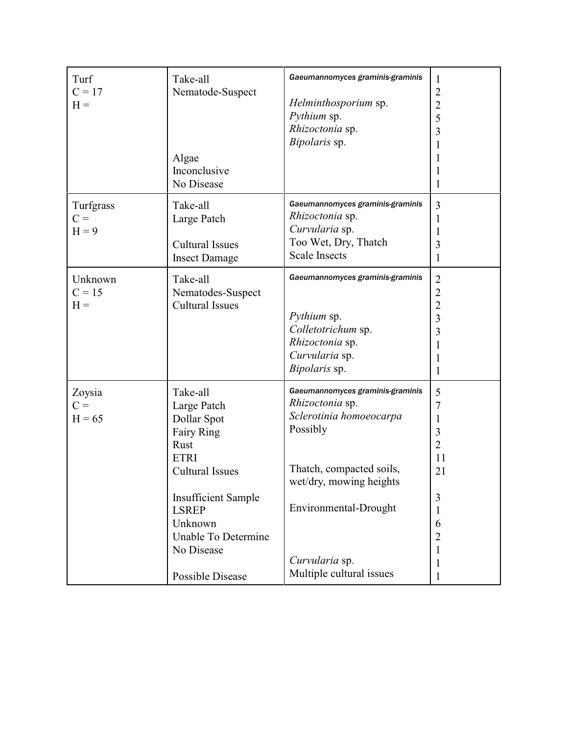| Turf<br>$C = 17$<br>$H =$     | Take-all<br>Nematode-Suspect<br>Algae<br>Inconclusive<br>No Disease                                                                                                                                                                   | Gaeumannomyces graminis-graminis<br>Helminthosporium sp.<br>Pythium sp.<br>Rhizoctonia sp.<br>Bipolaris sp.                                                                                                              | 1<br>$\overline{c}$<br>$rac{2}{5}$<br>3<br>1<br>1<br>1<br>1                                                                       |
|-------------------------------|---------------------------------------------------------------------------------------------------------------------------------------------------------------------------------------------------------------------------------------|--------------------------------------------------------------------------------------------------------------------------------------------------------------------------------------------------------------------------|-----------------------------------------------------------------------------------------------------------------------------------|
| Turfgrass<br>$C =$<br>$H = 9$ | Take-all<br>Large Patch<br><b>Cultural Issues</b><br><b>Insect Damage</b>                                                                                                                                                             | Gaeumannomyces graminis-graminis<br>Rhizoctonia sp.<br>Curvularia sp.<br>Too Wet, Dry, Thatch<br><b>Scale Insects</b>                                                                                                    | 3<br>1<br>1<br>3<br>1                                                                                                             |
| Unknown<br>$C = 15$<br>$H =$  | Take-all<br>Nematodes-Suspect<br><b>Cultural Issues</b>                                                                                                                                                                               | Gaeumannomyces graminis-graminis<br>Pythium sp.<br>Colletotrichum sp.<br>Rhizoctonia sp.<br>Curvularia sp.<br>Bipolaris sp.                                                                                              | $\overline{2}$<br>$\overline{c}$<br>$\frac{2}{3}$<br>$\overline{3}$<br>1<br>1<br>$\mathbf{1}$                                     |
| Zoysia<br>$C =$<br>$H = 65$   | Take-all<br>Large Patch<br>Dollar Spot<br><b>Fairy Ring</b><br>Rust<br><b>ETRI</b><br><b>Cultural Issues</b><br><b>Insufficient Sample</b><br><b>LSREP</b><br>Unknown<br>Unable To Determine<br>No Disease<br><b>Possible Disease</b> | Gaeumannomyces graminis-graminis<br>Rhizoctonia sp.<br>Sclerotinia homoeocarpa<br>Possibly<br>Thatch, compacted soils,<br>wet/dry, mowing heights<br>Environmental-Drought<br>Curvularia sp.<br>Multiple cultural issues | 5<br>$\overline{7}$<br>1<br>$\overline{\mathbf{3}}$<br>$\overline{2}$<br>11<br>21<br>3<br>1<br>6<br>$\overline{2}$<br>1<br>1<br>1 |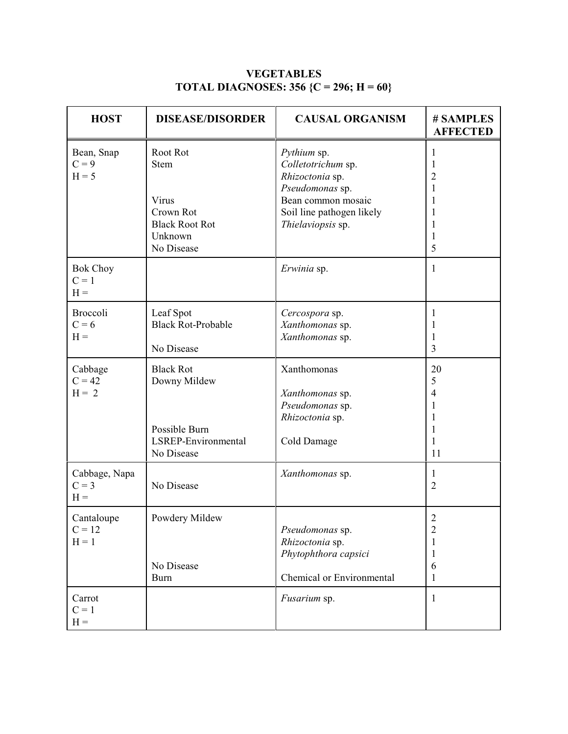| <b>HOST</b>                         | <b>DISEASE/DISORDER</b>                                                                         | <b>CAUSAL ORGANISM</b>                                                                                                                          | # SAMPLES<br><b>AFFECTED</b>                         |
|-------------------------------------|-------------------------------------------------------------------------------------------------|-------------------------------------------------------------------------------------------------------------------------------------------------|------------------------------------------------------|
| Bean, Snap<br>$C = 9$<br>$H = 5$    | Root Rot<br><b>Stem</b><br>Virus<br>Crown Rot<br><b>Black Root Rot</b><br>Unknown<br>No Disease | Pythium sp.<br>Colletotrichum sp.<br>Rhizoctonia sp.<br>Pseudomonas sp.<br>Bean common mosaic<br>Soil line pathogen likely<br>Thielaviopsis sp. | 1<br>1<br>2<br>1<br>1<br>1<br>1<br>1<br>5            |
| <b>Bok Choy</b><br>$C = 1$<br>$H =$ |                                                                                                 | Erwinia sp.                                                                                                                                     | 1                                                    |
| <b>Broccoli</b><br>$C = 6$<br>$H =$ | Leaf Spot<br><b>Black Rot-Probable</b><br>No Disease                                            | Cercospora sp.<br>Xanthomonas sp.<br>Xanthomonas sp.                                                                                            | 1<br>1<br>1<br>3                                     |
| Cabbage<br>$C = 42$<br>$H = 2$      | <b>Black Rot</b><br>Downy Mildew<br>Possible Burn<br>LSREP-Environmental<br>No Disease          | Xanthomonas<br>Xanthomonas sp.<br>Pseudomonas sp.<br>Rhizoctonia sp.<br>Cold Damage                                                             | 20<br>5<br>$\overline{4}$<br>1<br>1<br>1<br>1<br>11  |
| Cabbage, Napa<br>$C = 3$<br>$H =$   | No Disease                                                                                      | Xanthomonas sp.                                                                                                                                 | 1<br>$\overline{2}$                                  |
| Cantaloupe<br>$C = 12$<br>$H = 1$   | Powdery Mildew<br>No Disease<br><b>Burn</b>                                                     | Pseudomonas sp.<br>Rhizoctonia sp.<br>Phytophthora capsici<br>Chemical or Environmental                                                         | $\overline{c}$<br>$\overline{c}$<br>1<br>1<br>6<br>1 |
| Carrot<br>$C = 1$<br>$H =$          |                                                                                                 | Fusarium sp.                                                                                                                                    | 1                                                    |

### **VEGETABLES TOTAL DIAGNOSES: 356 {C = 296; H = 60}**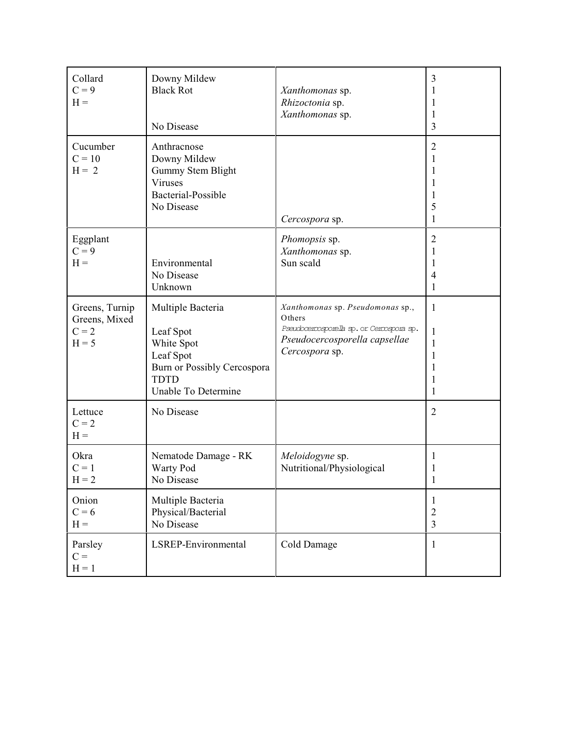| Collard<br>$C = 9$<br>$H =$                           | Downy Mildew<br><b>Black Rot</b><br>No Disease                                                                                 | Xanthomonas sp.<br>Rhizoctonia sp.<br>Xanthomonas sp.                                                                                      | 3<br>3                                |
|-------------------------------------------------------|--------------------------------------------------------------------------------------------------------------------------------|--------------------------------------------------------------------------------------------------------------------------------------------|---------------------------------------|
| Cucumber<br>$C = 10$<br>$H = 2$                       | Anthracnose<br>Downy Mildew<br>Gummy Stem Blight<br>Viruses<br>Bacterial-Possible<br>No Disease                                | Cercospora sp.                                                                                                                             | $\overline{2}$<br>1<br>5<br>1         |
| Eggplant<br>$C = 9$<br>$H =$                          | Environmental<br>No Disease<br>Unknown                                                                                         | Phomopsis sp.<br>Xanthomonas sp.<br>Sun scald                                                                                              | $\overline{2}$<br>1<br>1<br>4<br>1    |
| Greens, Turnip<br>Greens, Mixed<br>$C = 2$<br>$H = 5$ | Multiple Bacteria<br>Leaf Spot<br>White Spot<br>Leaf Spot<br>Burn or Possibly Cercospora<br><b>TDTD</b><br>Unable To Determine | Xanthomonas sp. Pseudomonas sp.,<br>Others<br>Pseudoceroosporella sp. or Ceroospora sp.<br>Pseudocercosporella capsellae<br>Cercospora sp. | 1<br>1<br>1<br>1<br>1                 |
| Lettuce<br>$C = 2$<br>$H =$                           | No Disease                                                                                                                     |                                                                                                                                            | $\overline{2}$                        |
| Okra<br>$C = 1$<br>$H = 2$                            | Nematode Damage - RK<br>Warty Pod<br>No Disease                                                                                | Meloidogyne sp.<br>Nutritional/Physiological                                                                                               | 1                                     |
| Onion<br>$C = 6$<br>$H =$                             | Multiple Bacteria<br>Physical/Bacterial<br>No Disease                                                                          |                                                                                                                                            | 1<br>$\overline{c}$<br>$\overline{3}$ |
| Parsley<br>$C =$<br>$H = 1$                           | LSREP-Environmental                                                                                                            | Cold Damage                                                                                                                                | 1                                     |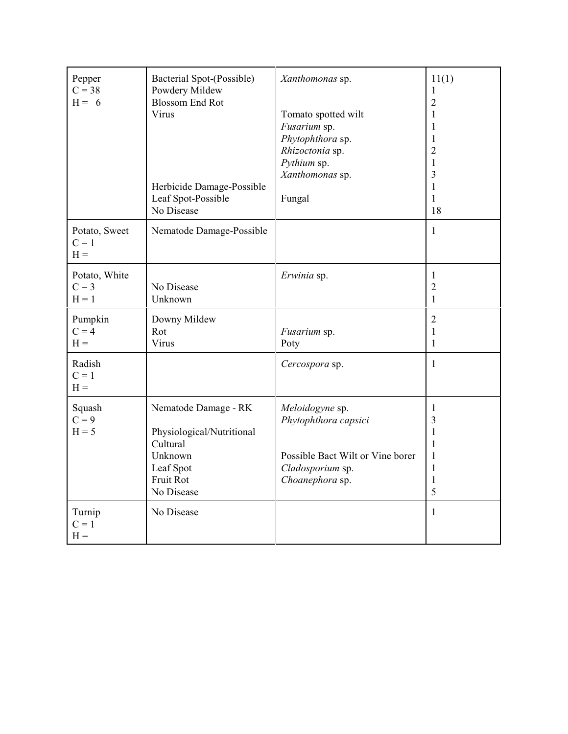| Pepper<br>$C = 38$<br>$H = 6$       | Bacterial Spot-(Possible)<br>Powdery Mildew<br><b>Blossom End Rot</b><br>Virus<br>Herbicide Damage-Possible<br>Leaf Spot-Possible<br>No Disease | Xanthomonas sp.<br>Tomato spotted wilt<br>Fusarium sp.<br>Phytophthora sp.<br>Rhizoctonia sp.<br>Pythium sp.<br>Xanthomonas sp.<br>Fungal | 11(1)<br>$\mathbf 1$<br>$\overline{2}$<br>1<br>1<br>1<br>$\overline{2}$<br>1<br>3<br>1<br>1<br>18 |
|-------------------------------------|-------------------------------------------------------------------------------------------------------------------------------------------------|-------------------------------------------------------------------------------------------------------------------------------------------|---------------------------------------------------------------------------------------------------|
| Potato, Sweet<br>$C = 1$<br>$H =$   | Nematode Damage-Possible                                                                                                                        |                                                                                                                                           | $\mathbf{1}$                                                                                      |
| Potato, White<br>$C = 3$<br>$H = 1$ | No Disease<br>Unknown                                                                                                                           | Erwinia sp.                                                                                                                               | $\mathbf{1}$<br>$\overline{2}$<br>$\mathbf{1}$                                                    |
| Pumpkin<br>$C = 4$<br>$H =$         | Downy Mildew<br>Rot<br>Virus                                                                                                                    | Fusarium sp.<br>Poty                                                                                                                      | $\overline{2}$<br>$\mathbf{1}$<br>$\mathbf{1}$                                                    |
| Radish<br>$C = 1$<br>$H =$          |                                                                                                                                                 | Cercospora sp.                                                                                                                            | 1                                                                                                 |
| Squash<br>$C = 9$<br>$H = 5$        | Nematode Damage - RK<br>Physiological/Nutritional<br>Cultural<br>Unknown<br>Leaf Spot<br>Fruit Rot<br>No Disease                                | Meloidogyne sp.<br>Phytophthora capsici<br>Possible Bact Wilt or Vine borer<br>Cladosporium sp.<br>Choanephora sp.                        | 1<br>3<br>$\mathbf{1}$<br>1<br>1<br>$\mathbf{1}$<br>$\mathbf{1}$<br>5                             |
| Turnip<br>$C = 1$<br>$H =$          | No Disease                                                                                                                                      |                                                                                                                                           | 1                                                                                                 |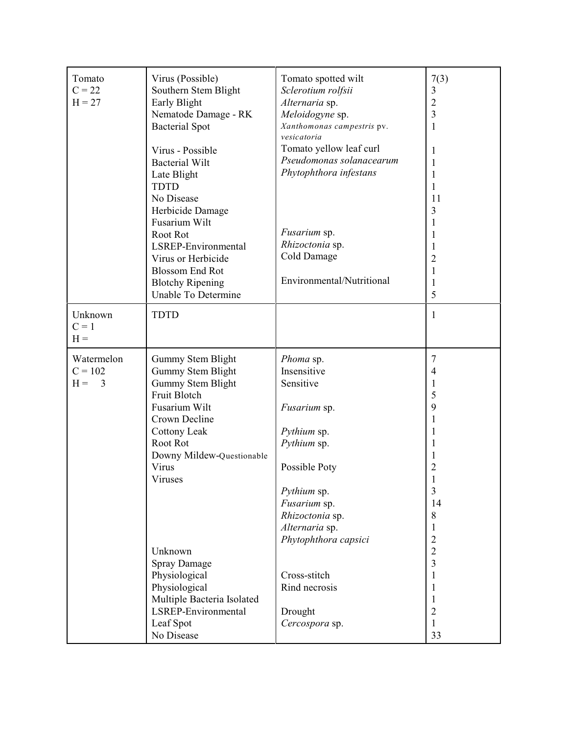| Tomato<br>$C = 22$<br>$H = 27$        | Virus (Possible)<br>Southern Stem Blight<br>Early Blight<br>Nematode Damage - RK<br><b>Bacterial Spot</b><br>Virus - Possible<br><b>Bacterial Wilt</b><br>Late Blight<br><b>TDTD</b><br>No Disease<br>Herbicide Damage<br>Fusarium Wilt<br>Root Rot<br>LSREP-Environmental<br>Virus or Herbicide<br><b>Blossom End Rot</b><br><b>Blotchy Ripening</b><br>Unable To Determine | Tomato spotted wilt<br>Sclerotium rolfsii<br>Alternaria sp.<br>Meloidogyne sp.<br>Xanthomonas campestris pv.<br>vesicatoria<br>Tomato yellow leaf curl<br>Pseudomonas solanacearum<br>Phytophthora infestans<br>Fusarium sp.<br>Rhizoctonia sp.<br>Cold Damage<br>Environmental/Nutritional | 7(3)<br>3<br>$\sqrt{2}$<br>3<br>1<br>1<br>1<br>1<br>1<br>11<br>3<br>1<br>1<br>1<br>2<br>1<br>1<br>5                                                                                                   |
|---------------------------------------|------------------------------------------------------------------------------------------------------------------------------------------------------------------------------------------------------------------------------------------------------------------------------------------------------------------------------------------------------------------------------|---------------------------------------------------------------------------------------------------------------------------------------------------------------------------------------------------------------------------------------------------------------------------------------------|-------------------------------------------------------------------------------------------------------------------------------------------------------------------------------------------------------|
| Unknown<br>$C = 1$<br>$H =$           | <b>TDTD</b>                                                                                                                                                                                                                                                                                                                                                                  |                                                                                                                                                                                                                                                                                             | 1                                                                                                                                                                                                     |
| Watermelon<br>$C = 102$<br>$H =$<br>3 | Gummy Stem Blight<br>Gummy Stem Blight<br>Gummy Stem Blight<br>Fruit Blotch<br>Fusarium Wilt<br>Crown Decline<br>Cottony Leak<br>Root Rot<br>Downy Mildew-Questionable<br>Virus<br>Viruses<br>Unknown<br><b>Spray Damage</b><br>Physiological<br>Physiological<br>Multiple Bacteria Isolated<br>LSREP-Environmental<br>Leaf Spot<br>No Disease                               | Phoma sp.<br>Insensitive<br>Sensitive<br>Fusarium sp.<br>Pythium sp.<br>Pythium sp.<br>Possible Poty<br>Pythium sp.<br>Fusarium sp.<br>Rhizoctonia sp.<br>Alternaria sp.<br>Phytophthora capsici<br>Cross-stitch<br>Rind necrosis<br>Drought<br>Cercospora sp.                              | 7<br>$\overline{4}$<br>1<br>5<br>9<br>1<br>1<br>1<br>$\overline{c}$<br>3<br>14<br>8<br>1<br>$\overline{c}$<br>$\overline{c}$<br>$\overline{3}$<br>1<br>1<br>1<br>$\overline{2}$<br>$\mathbf{1}$<br>33 |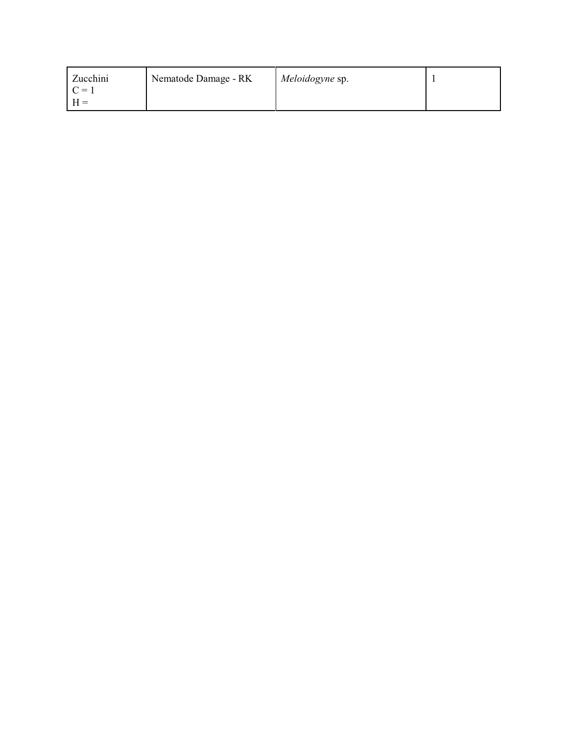| Zucchini | Nematode Damage - RK | Meloidogyne sp. |  |
|----------|----------------------|-----------------|--|
|          |                      |                 |  |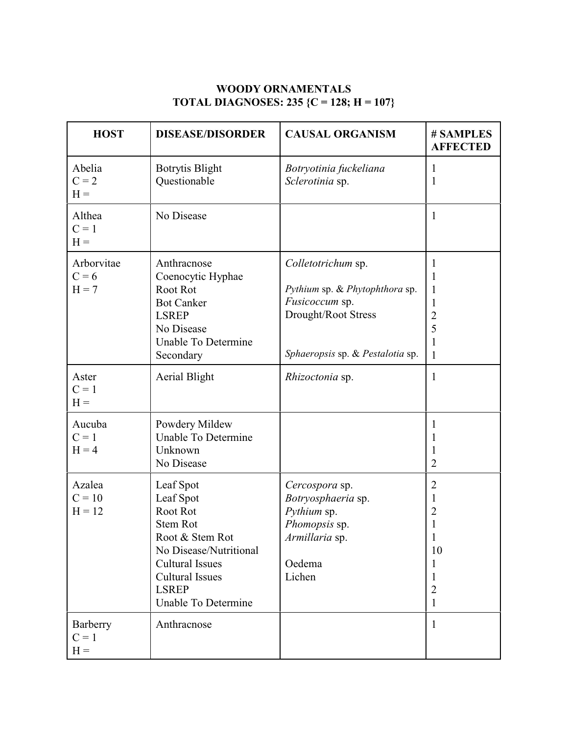### **WOODY ORNAMENTALS TOTAL DIAGNOSES: 235 {C = 128; H = 107}**

| <b>HOST</b>                      | <b>DISEASE/DISORDER</b>                                                                                                                                                                       | <b>CAUSAL ORGANISM</b>                                                                                                            | # SAMPLES<br><b>AFFECTED</b>                                                 |
|----------------------------------|-----------------------------------------------------------------------------------------------------------------------------------------------------------------------------------------------|-----------------------------------------------------------------------------------------------------------------------------------|------------------------------------------------------------------------------|
| Abelia<br>$C = 2$<br>$H =$       | <b>Botrytis Blight</b><br>Questionable                                                                                                                                                        | Botryotinia fuckeliana<br>Sclerotinia sp.                                                                                         | 1<br>$\mathbf{1}$                                                            |
| Althea<br>$C = 1$<br>$H =$       | No Disease                                                                                                                                                                                    |                                                                                                                                   | $\mathbf{1}$                                                                 |
| Arborvitae<br>$C = 6$<br>$H = 7$ | Anthracnose<br>Coenocytic Hyphae<br>Root Rot<br><b>Bot Canker</b><br><b>LSREP</b><br>No Disease<br>Unable To Determine<br>Secondary                                                           | Colletotrichum sp.<br>Pythium sp. & Phytophthora sp.<br>Fusicoccum sp.<br>Drought/Root Stress<br>Sphaeropsis sp. & Pestalotia sp. | 1<br>1<br>1<br>1<br>$\overline{2}$<br>5<br>$\mathbf{1}$                      |
| Aster<br>$C = 1$<br>$H =$        | <b>Aerial Blight</b>                                                                                                                                                                          | Rhizoctonia sp.                                                                                                                   | $\mathbf{1}$                                                                 |
| Aucuba<br>$C = 1$<br>$H = 4$     | Powdery Mildew<br>Unable To Determine<br>Unknown<br>No Disease                                                                                                                                |                                                                                                                                   | 1<br>T<br>1<br>$\overline{2}$                                                |
| Azalea<br>$C = 10$<br>$H = 12$   | Leaf Spot<br>Leaf Spot<br>Root Rot<br><b>Stem Rot</b><br>Root & Stem Rot<br>No Disease/Nutritional<br><b>Cultural Issues</b><br><b>Cultural Issues</b><br><b>LSREP</b><br>Unable To Determine | Cercospora sp.<br>Botryosphaeria sp.<br>Pythium sp.<br>Phomopsis sp.<br>Armillaria sp.<br>Oedema<br>Lichen                        | $\overline{2}$<br>1<br>$\overline{2}$<br>10<br>1<br>1<br>$\overline{2}$<br>1 |
| Barberry<br>$C = 1$<br>$H =$     | Anthracnose                                                                                                                                                                                   |                                                                                                                                   | $\mathbf{1}$                                                                 |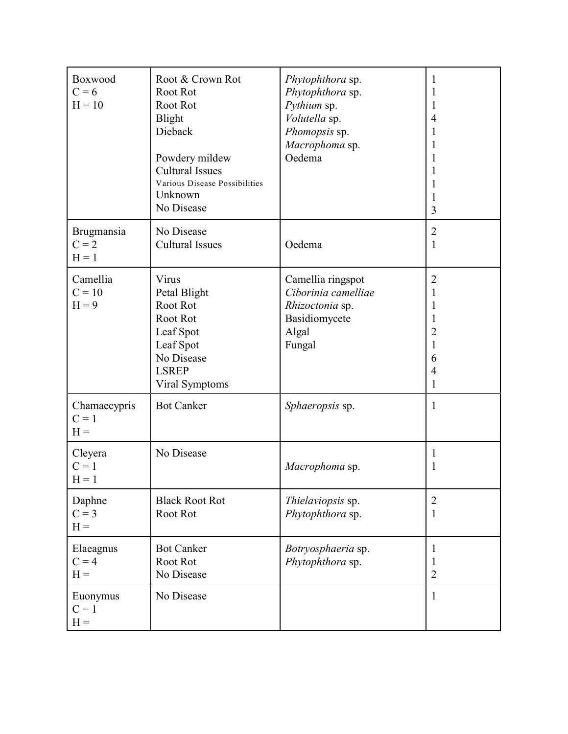| Boxwood<br>$C = 6$<br>$H = 10$   | Root & Crown Rot<br>Root Rot<br>Root Rot<br><b>Blight</b><br>Dieback<br>Powdery mildew<br><b>Cultural Issues</b><br>Various Disease Possibilities<br>Unknown<br>No Disease | Phytophthora sp.<br>Phytophthora sp.<br>Pythium sp.<br>Volutella sp.<br>Phomopsis sp.<br>Macrophoma sp.<br>Oedema | 1<br>1<br>4<br>1<br>1<br>3                        |
|----------------------------------|----------------------------------------------------------------------------------------------------------------------------------------------------------------------------|-------------------------------------------------------------------------------------------------------------------|---------------------------------------------------|
| Brugmansia<br>$C = 2$<br>$H = 1$ | No Disease<br><b>Cultural Issues</b>                                                                                                                                       | Oedema                                                                                                            | $\overline{2}$<br>1                               |
| Camellia<br>$C = 10$<br>$H = 9$  | Virus<br>Petal Blight<br>Root Rot<br>Root Rot<br>Leaf Spot<br>Leaf Spot<br>No Disease<br><b>LSREP</b><br>Viral Symptoms                                                    | Camellia ringspot<br>Ciborinia camelliae<br>Rhizoctonia sp.<br>Basidiomycete<br>Algal<br>Fungal                   | $\overline{2}$<br>1<br>1<br>2<br>1<br>6<br>4<br>1 |
| Chamaecypris<br>$C = 1$<br>$H =$ | <b>Bot Canker</b>                                                                                                                                                          | Sphaeropsis sp.                                                                                                   | 1                                                 |
| Cleyera<br>$C = 1$<br>$H = 1$    | No Disease                                                                                                                                                                 | Macrophoma sp.                                                                                                    | 1<br>1                                            |
| Daphne<br>$C = 3$<br>$H =$       | <b>Black Root Rot</b><br>Root Rot                                                                                                                                          | Thielaviopsis sp.<br>Phytophthora sp.                                                                             | 2<br>1                                            |
| Elaeagnus<br>$C = 4$<br>$H =$    | <b>Bot Canker</b><br>Root Rot<br>No Disease                                                                                                                                | Botryosphaeria sp.<br>Phytophthora sp.                                                                            | 1<br>1<br>$\overline{2}$                          |
| Euonymus<br>$C = 1$<br>$H =$     | No Disease                                                                                                                                                                 |                                                                                                                   | 1                                                 |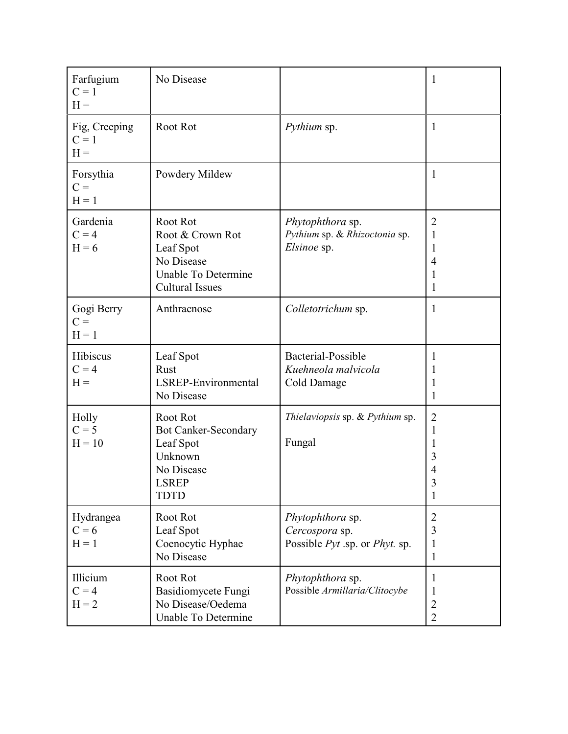| Farfugium<br>$C = 1$<br>$H =$     | No Disease                                                                                                   |                                                                                     | 1                                                        |
|-----------------------------------|--------------------------------------------------------------------------------------------------------------|-------------------------------------------------------------------------------------|----------------------------------------------------------|
| Fig, Creeping<br>$C = 1$<br>$H =$ | Root Rot                                                                                                     | Pythium sp.                                                                         | 1                                                        |
| Forsythia<br>$C =$<br>$H = 1$     | Powdery Mildew                                                                                               |                                                                                     | 1                                                        |
| Gardenia<br>$C = 4$<br>$H = 6$    | Root Rot<br>Root & Crown Rot<br>Leaf Spot<br>No Disease<br>Unable To Determine<br><b>Cultural Issues</b>     | Phytophthora sp.<br>Pythium sp. & Rhizoctonia sp.<br>Elsinoe sp.                    | $\overline{2}$<br>1<br>1<br>4<br>1<br>1                  |
| Gogi Berry<br>$C =$<br>$H = 1$    | Anthracnose                                                                                                  | Colletotrichum sp.                                                                  | 1                                                        |
| Hibiscus<br>$C = 4$<br>$H =$      | Leaf Spot<br>Rust<br>LSREP-Environmental<br>No Disease                                                       | Bacterial-Possible<br>Kuehneola malvicola<br>Cold Damage                            | 1<br>1<br>1<br>1                                         |
| Holly<br>$C = 5$<br>$H = 10$      | Root Rot<br><b>Bot Canker-Secondary</b><br>Leaf Spot<br>Unknown<br>No Disease<br><b>LSREP</b><br><b>TDTD</b> | Thielaviopsis sp. & Pythium sp.<br>Fungal                                           | $\overline{2}$<br>1<br>1<br>3<br>4<br>$\mathfrak z$<br>1 |
| Hydrangea<br>$C = 6$<br>$H = 1$   | Root Rot<br>Leaf Spot<br>Coenocytic Hyphae<br>No Disease                                                     | Phytophthora sp.<br>Cercospora sp.<br>Possible <i>Pyt</i> .sp. or <i>Phyt</i> . sp. | $\overline{2}$<br>3<br>1<br>1                            |
| Illicium<br>$C = 4$<br>$H = 2$    | Root Rot<br><b>Basidiomycete Fungi</b><br>No Disease/Oedema<br>Unable To Determine                           | Phytophthora sp.<br>Possible Armillaria/Clitocybe                                   | $\mathbf{I}$<br>T<br>$\mathbf{2}$<br>$\overline{2}$      |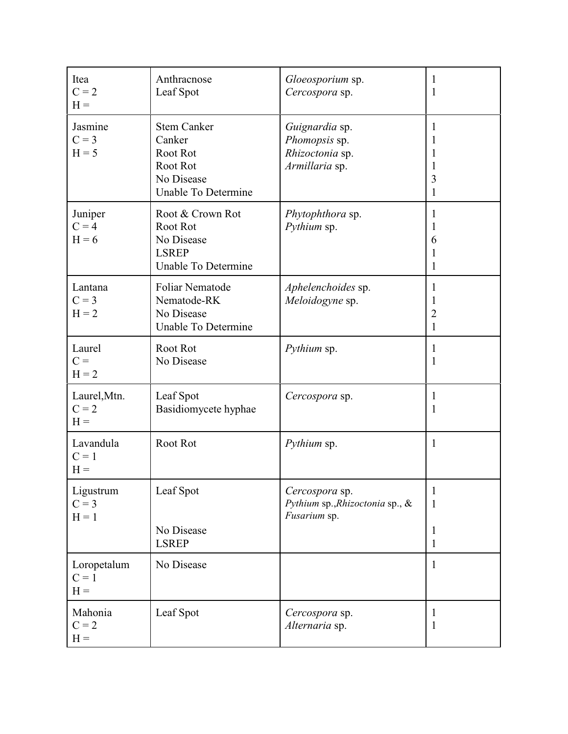| Itea<br>$C = 2$<br>$H =$         | Anthracnose<br>Leaf Spot                                                                  | Gloeosporium sp.<br>Cercospora sp.                                   | 1<br>1                                           |
|----------------------------------|-------------------------------------------------------------------------------------------|----------------------------------------------------------------------|--------------------------------------------------|
| Jasmine<br>$C = 3$<br>$H = 5$    | <b>Stem Canker</b><br>Canker<br>Root Rot<br>Root Rot<br>No Disease<br>Unable To Determine | Guignardia sp.<br>Phomopsis sp.<br>Rhizoctonia sp.<br>Armillaria sp. | 1<br>$\mathbf{I}$<br>$\mathbf{I}$<br>1<br>3<br>1 |
| Juniper<br>$C = 4$<br>$H = 6$    | Root & Crown Rot<br>Root Rot<br>No Disease<br><b>LSREP</b><br>Unable To Determine         | Phytophthora sp.<br>Pythium sp.                                      | 1<br>6<br>1<br>1                                 |
| Lantana<br>$C = 3$<br>$H = 2$    | <b>Foliar Nematode</b><br>Nematode-RK<br>No Disease<br>Unable To Determine                | Aphelenchoides sp.<br>Meloidogyne sp.                                | 1<br>1<br>$\overline{2}$<br>1                    |
| Laurel<br>$C =$<br>$H = 2$       | Root Rot<br>No Disease                                                                    | Pythium sp.                                                          | 1<br>1                                           |
| Laurel, Mtn.<br>$C = 2$<br>$H =$ | Leaf Spot<br>Basidiomycete hyphae                                                         | Cercospora sp.                                                       | 1<br>1                                           |
| Lavandula<br>$C = 1$<br>$H =$    | Root Rot                                                                                  | Pythium sp.                                                          | 1                                                |
| Ligustrum<br>$C = 3$<br>$H = 1$  | Leaf Spot<br>No Disease<br><b>LSREP</b>                                                   | Cercospora sp.<br>Pythium sp., Rhizoctonia sp., &<br>Fusarium sp.    | 1<br>1<br>1<br>$\mathbf{1}$                      |
| Loropetalum<br>$C = 1$<br>$H =$  | No Disease                                                                                |                                                                      | $\mathbf{1}$                                     |
| Mahonia<br>$C = 2$<br>$H =$      | Leaf Spot                                                                                 | Cercospora sp.<br>Alternaria sp.                                     | 1<br>1                                           |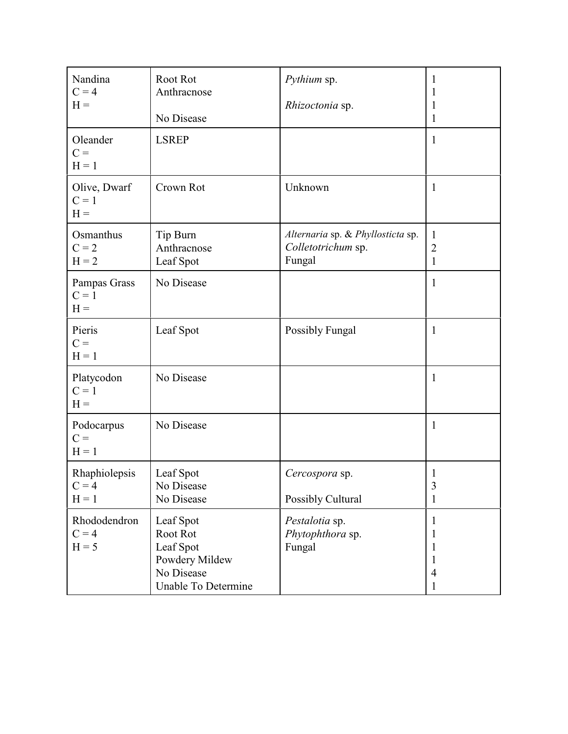| Nandina<br>$C = 4$<br>$H =$<br>Oleander<br>$C =$<br>$H = 1$ | Root Rot<br>Anthracnose<br>No Disease<br><b>LSREP</b>                                     | Pythium sp.<br>Rhizoctonia sp.                                    | 1<br>1<br>1<br>1<br>1                   |
|-------------------------------------------------------------|-------------------------------------------------------------------------------------------|-------------------------------------------------------------------|-----------------------------------------|
| Olive, Dwarf<br>$C = 1$<br>$H =$                            | Crown Rot                                                                                 | Unknown                                                           | $\mathbf{1}$                            |
| Osmanthus<br>$C = 2$<br>$H = 2$                             | Tip Burn<br>Anthracnose<br>Leaf Spot                                                      | Alternaria sp. & Phyllosticta sp.<br>Colletotrichum sp.<br>Fungal | 1<br>$\overline{2}$<br>1                |
| Pampas Grass<br>$C = 1$<br>$H =$                            | No Disease                                                                                |                                                                   | 1                                       |
| Pieris<br>$C =$<br>$H = 1$                                  | Leaf Spot                                                                                 | <b>Possibly Fungal</b>                                            | 1                                       |
| Platycodon<br>$C = 1$<br>$H =$                              | No Disease                                                                                |                                                                   | $\mathbf{1}$                            |
| Podocarpus<br>$C =$<br>$H = 1$                              | No Disease                                                                                |                                                                   | 1                                       |
| Rhaphiolepsis<br>$C = 4$<br>$H = 1$                         | Leaf Spot<br>No Disease<br>No Disease                                                     | Cercospora sp.<br>Possibly Cultural                               | $\mathbf{1}$<br>3<br>1                  |
| Rhododendron<br>$C = 4$<br>$H = 5$                          | Leaf Spot<br>Root Rot<br>Leaf Spot<br>Powdery Mildew<br>No Disease<br>Unable To Determine | Pestalotia sp.<br>Phytophthora sp.<br>Fungal                      | 1<br>1<br>1<br>1<br>$\overline{4}$<br>1 |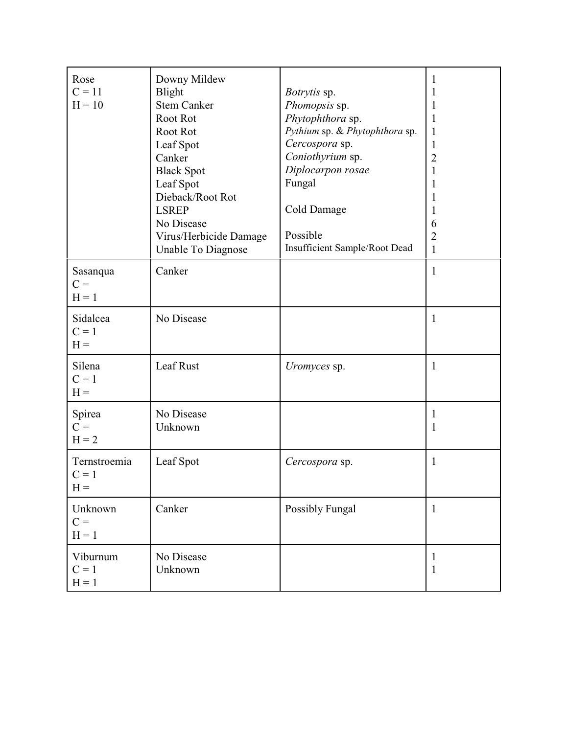| Rose<br>$C = 11$<br>$H = 10$     | Downy Mildew<br><b>Blight</b><br><b>Stem Canker</b><br>Root Rot<br>Root Rot<br>Leaf Spot<br>Canker<br><b>Black Spot</b><br>Leaf Spot<br>Dieback/Root Rot<br><b>LSREP</b><br>No Disease<br>Virus/Herbicide Damage<br>Unable To Diagnose | Botrytis sp.<br>Phomopsis sp.<br>Phytophthora sp.<br>Pythium sp. & Phytophthora sp.<br>Cercospora sp.<br>Coniothyrium sp.<br>Diplocarpon rosae<br>Fungal<br>Cold Damage<br>Possible<br>Insufficient Sample/Root Dead | 1<br>1<br>1<br>1<br>1<br>$\mathbf{1}$<br>$\overline{2}$<br>1<br>1<br>1<br>1<br>6<br>$\overline{2}$<br>$\mathbf{1}$ |
|----------------------------------|----------------------------------------------------------------------------------------------------------------------------------------------------------------------------------------------------------------------------------------|----------------------------------------------------------------------------------------------------------------------------------------------------------------------------------------------------------------------|--------------------------------------------------------------------------------------------------------------------|
| Sasanqua<br>$C =$<br>$H = 1$     | Canker                                                                                                                                                                                                                                 |                                                                                                                                                                                                                      | $\mathbf{1}$                                                                                                       |
| Sidalcea<br>$C = 1$<br>$H =$     | No Disease                                                                                                                                                                                                                             |                                                                                                                                                                                                                      | $\mathbf{1}$                                                                                                       |
| Silena<br>$C = 1$<br>$H =$       | Leaf Rust                                                                                                                                                                                                                              | Uromyces sp.                                                                                                                                                                                                         | $\mathbf{1}$                                                                                                       |
| Spirea<br>$C =$<br>$H = 2$       | No Disease<br>Unknown                                                                                                                                                                                                                  |                                                                                                                                                                                                                      | 1<br>$\mathbf{1}$                                                                                                  |
| Ternstroemia<br>$C = 1$<br>$H =$ | Leaf Spot                                                                                                                                                                                                                              | Cercospora sp.                                                                                                                                                                                                       | 1                                                                                                                  |
| Unknown<br>$C =$<br>$H = 1$      | Canker                                                                                                                                                                                                                                 | Possibly Fungal                                                                                                                                                                                                      | $\mathbf{1}$                                                                                                       |
| Viburnum<br>$C = 1$<br>$H = 1$   | No Disease<br>Unknown                                                                                                                                                                                                                  |                                                                                                                                                                                                                      | 1<br>$\mathbf{1}$                                                                                                  |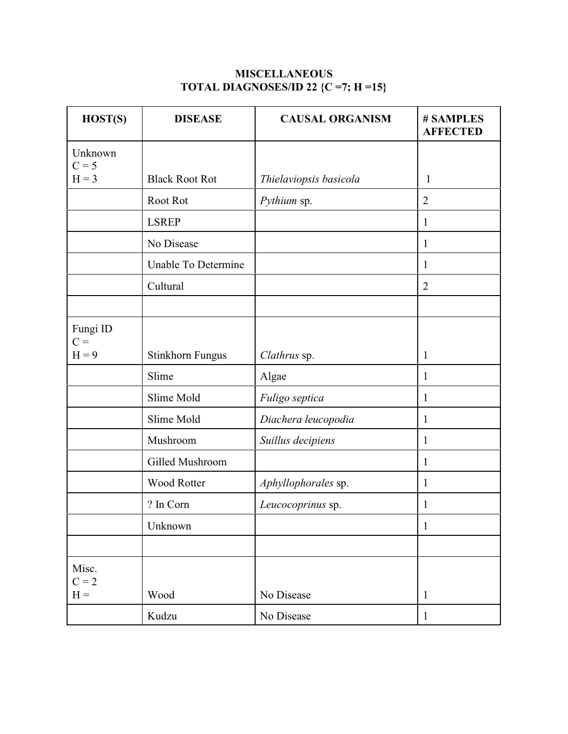### **MISCELLANEOUS TOTAL DIAGNOSES/ID 22 {C =7; H =15}**

| HOST(S)            | <b>DISEASE</b>          | <b>CAUSAL ORGANISM</b> | # SAMPLES<br><b>AFFECTED</b> |
|--------------------|-------------------------|------------------------|------------------------------|
| Unknown<br>$C = 5$ |                         |                        |                              |
| $H = 3$            | <b>Black Root Rot</b>   | Thielaviopsis basicola | $\mathbf{1}$                 |
|                    | Root Rot                | Pythium sp.            | $\overline{2}$               |
|                    | <b>LSREP</b>            |                        | 1                            |
|                    | No Disease              |                        | 1                            |
|                    | Unable To Determine     |                        | 1                            |
|                    | Cultural                |                        | $\overline{2}$               |
|                    |                         |                        |                              |
| Fungi ID<br>$C =$  |                         |                        |                              |
| $H = 9$            | <b>Stinkhorn Fungus</b> | Clathrus sp.           | 1                            |
|                    | Slime                   | Algae                  | 1                            |
|                    | Slime Mold              | Fuligo septica         | 1                            |
|                    | Slime Mold              | Diachera leucopodia    | 1                            |
|                    | Mushroom                | Suillus decipiens      | 1                            |
|                    | Gilled Mushroom         |                        | 1                            |
|                    | <b>Wood Rotter</b>      | Aphyllophorales sp.    | $\mathbf{1}$                 |
|                    | ? In Corn               | Leucocoprinus sp.      | $\mathbf{1}$                 |
|                    | Unknown                 |                        | $\mathbf{1}$                 |
|                    |                         |                        |                              |
| Misc.<br>$C = 2$   |                         |                        |                              |
| $H =$              | Wood                    | No Disease             | $\mathbf{1}$                 |
|                    | Kudzu                   | No Disease             | $\mathbf{1}$                 |